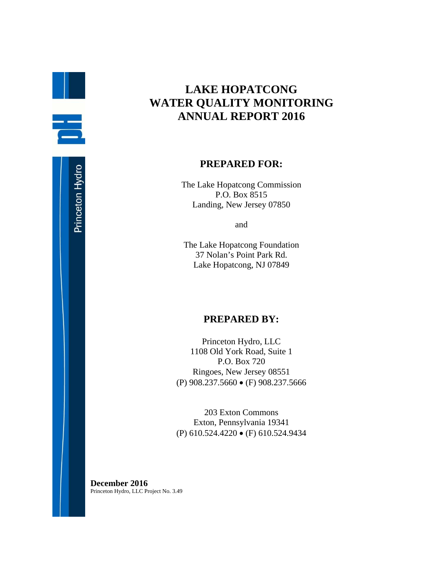## **LAKE HOPATCONG WATER QUALITY MONITORING ANNUAL REPORT 2016**

#### **PREPARED FOR:**

The Lake Hopatcong Commission P.O. Box 8515 Landing, New Jersey 07850

and

The Lake Hopatcong Foundation 37 Nolan's Point Park Rd. Lake Hopatcong, NJ 07849

### **PREPARED BY:**

Princeton Hydro, LLC 1108 Old York Road, Suite 1 P.O. Box 720 Ringoes, New Jersey 08551 (P) 908.237.5660 (F) 908.237.5666

203 Exton Commons Exton, Pennsylvania 19341 (P) 610.524.4220 (F) 610.524.9434

**December 2016**  Princeton Hydro, LLC Project No. 3.49

H

E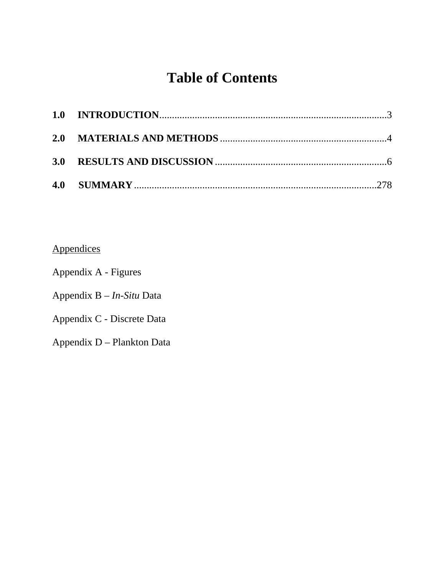# **Table of Contents**

## Appendices

| Appendix A - Figures |  |  |
|----------------------|--|--|
|----------------------|--|--|

Appendix B – *In-Situ* Data

Appendix C - Discrete Data

Appendix D – Plankton Data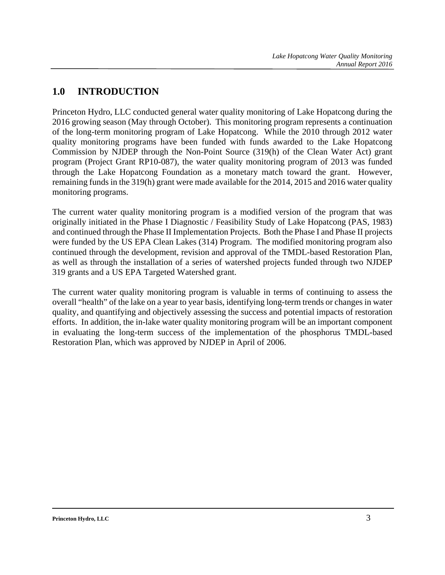### **1.0 INTRODUCTION**

Princeton Hydro, LLC conducted general water quality monitoring of Lake Hopatcong during the 2016 growing season (May through October). This monitoring program represents a continuation of the long-term monitoring program of Lake Hopatcong. While the 2010 through 2012 water quality monitoring programs have been funded with funds awarded to the Lake Hopatcong Commission by NJDEP through the Non-Point Source (319(h) of the Clean Water Act) grant program (Project Grant RP10-087), the water quality monitoring program of 2013 was funded through the Lake Hopatcong Foundation as a monetary match toward the grant. However, remaining funds in the 319(h) grant were made available for the 2014, 2015 and 2016 water quality monitoring programs.

The current water quality monitoring program is a modified version of the program that was originally initiated in the Phase I Diagnostic / Feasibility Study of Lake Hopatcong (PAS, 1983) and continued through the Phase II Implementation Projects. Both the Phase I and Phase II projects were funded by the US EPA Clean Lakes (314) Program. The modified monitoring program also continued through the development, revision and approval of the TMDL-based Restoration Plan, as well as through the installation of a series of watershed projects funded through two NJDEP 319 grants and a US EPA Targeted Watershed grant.

The current water quality monitoring program is valuable in terms of continuing to assess the overall "health" of the lake on a year to year basis, identifying long-term trends or changes in water quality, and quantifying and objectively assessing the success and potential impacts of restoration efforts. In addition, the in-lake water quality monitoring program will be an important component in evaluating the long-term success of the implementation of the phosphorus TMDL-based Restoration Plan, which was approved by NJDEP in April of 2006.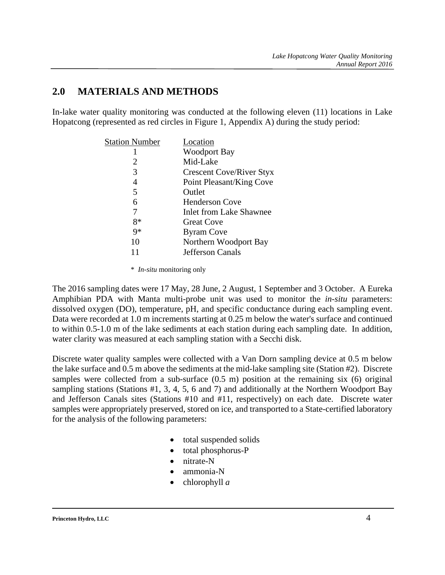### **2.0 MATERIALS AND METHODS**

In-lake water quality monitoring was conducted at the following eleven (11) locations in Lake Hopatcong (represented as red circles in Figure 1, Appendix A) during the study period:

| Location                        |
|---------------------------------|
| <b>Woodport Bay</b>             |
| Mid-Lake                        |
| <b>Crescent Cove/River Styx</b> |
| Point Pleasant/King Cove        |
| Outlet                          |
| <b>Henderson Cove</b>           |
| <b>Inlet from Lake Shawnee</b>  |
| <b>Great Cove</b>               |
| <b>Byram Cove</b>               |
| Northern Woodport Bay           |
| Jefferson Canals                |
|                                 |

\* *In-situ* monitoring only

The 2016 sampling dates were 17 May, 28 June, 2 August, 1 September and 3 October. A Eureka Amphibian PDA with Manta multi-probe unit was used to monitor the *in-situ* parameters: dissolved oxygen (DO), temperature, pH, and specific conductance during each sampling event. Data were recorded at 1.0 m increments starting at 0.25 m below the water's surface and continued to within 0.5-1.0 m of the lake sediments at each station during each sampling date. In addition, water clarity was measured at each sampling station with a Secchi disk.

Discrete water quality samples were collected with a Van Dorn sampling device at 0.5 m below the lake surface and 0.5 m above the sediments at the mid-lake sampling site (Station #2). Discrete samples were collected from a sub-surface  $(0.5 \text{ m})$  position at the remaining six  $(6)$  original sampling stations (Stations #1, 3, 4, 5, 6 and 7) and additionally at the Northern Woodport Bay and Jefferson Canals sites (Stations #10 and #11, respectively) on each date. Discrete water samples were appropriately preserved, stored on ice, and transported to a State-certified laboratory for the analysis of the following parameters:

- total suspended solids
- total phosphorus-P
- nitrate-N
- ammonia-N
- chlorophyll *a*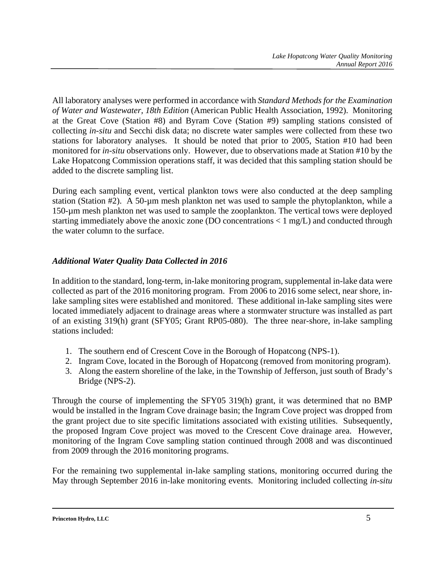All laboratory analyses were performed in accordance with *Standard Methods for the Examination of Water and Wastewater, 18th Edition* (American Public Health Association, 1992). Monitoring at the Great Cove (Station #8) and Byram Cove (Station #9) sampling stations consisted of collecting *in-situ* and Secchi disk data; no discrete water samples were collected from these two stations for laboratory analyses. It should be noted that prior to 2005, Station #10 had been monitored for *in-situ* observations only. However, due to observations made at Station #10 by the Lake Hopatcong Commission operations staff, it was decided that this sampling station should be added to the discrete sampling list.

During each sampling event, vertical plankton tows were also conducted at the deep sampling station (Station #2). A 50-µm mesh plankton net was used to sample the phytoplankton, while a 150-µm mesh plankton net was used to sample the zooplankton. The vertical tows were deployed starting immediately above the anoxic zone (DO concentrations < 1 mg/L) and conducted through the water column to the surface.

#### *Additional Water Quality Data Collected in 2016*

In addition to the standard, long-term, in-lake monitoring program, supplemental in-lake data were collected as part of the 2016 monitoring program. From 2006 to 2016 some select, near shore, inlake sampling sites were established and monitored. These additional in-lake sampling sites were located immediately adjacent to drainage areas where a stormwater structure was installed as part of an existing 319(h) grant (SFY05; Grant RP05-080). The three near-shore, in-lake sampling stations included:

- 1. The southern end of Crescent Cove in the Borough of Hopatcong (NPS-1).
- 2. Ingram Cove, located in the Borough of Hopatcong (removed from monitoring program).
- 3. Along the eastern shoreline of the lake, in the Township of Jefferson, just south of Brady's Bridge (NPS-2).

Through the course of implementing the SFY05 319(h) grant, it was determined that no BMP would be installed in the Ingram Cove drainage basin; the Ingram Cove project was dropped from the grant project due to site specific limitations associated with existing utilities. Subsequently, the proposed Ingram Cove project was moved to the Crescent Cove drainage area. However, monitoring of the Ingram Cove sampling station continued through 2008 and was discontinued from 2009 through the 2016 monitoring programs.

For the remaining two supplemental in-lake sampling stations, monitoring occurred during the May through September 2016 in-lake monitoring events. Monitoring included collecting *in-situ*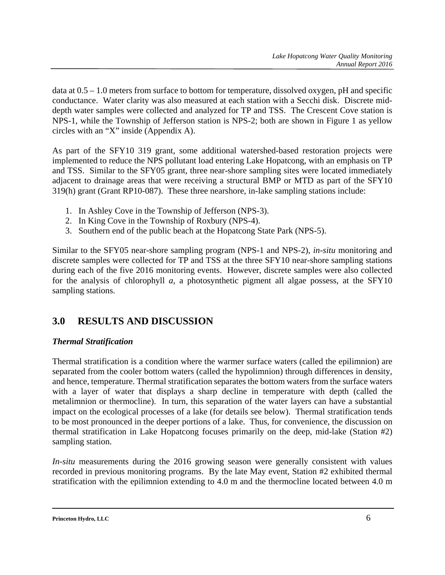data at 0.5 – 1.0 meters from surface to bottom for temperature, dissolved oxygen, pH and specific conductance. Water clarity was also measured at each station with a Secchi disk. Discrete middepth water samples were collected and analyzed for TP and TSS. The Crescent Cove station is NPS-1, while the Township of Jefferson station is NPS-2; both are shown in Figure 1 as yellow circles with an "X" inside (Appendix A).

As part of the SFY10 319 grant, some additional watershed-based restoration projects were implemented to reduce the NPS pollutant load entering Lake Hopatcong, with an emphasis on TP and TSS. Similar to the SFY05 grant, three near-shore sampling sites were located immediately adjacent to drainage areas that were receiving a structural BMP or MTD as part of the SFY10 319(h) grant (Grant RP10-087). These three nearshore, in-lake sampling stations include:

- 1. In Ashley Cove in the Township of Jefferson (NPS-3).
- 2. In King Cove in the Township of Roxbury (NPS-4).
- 3. Southern end of the public beach at the Hopatcong State Park (NPS-5).

Similar to the SFY05 near-shore sampling program (NPS-1 and NPS-2), *in-situ* monitoring and discrete samples were collected for TP and TSS at the three SFY10 near-shore sampling stations during each of the five 2016 monitoring events. However, discrete samples were also collected for the analysis of chlorophyll *a*, a photosynthetic pigment all algae possess, at the SFY10 sampling stations.

### **3.0 RESULTS AND DISCUSSION**

#### *Thermal Stratification*

Thermal stratification is a condition where the warmer surface waters (called the epilimnion) are separated from the cooler bottom waters (called the hypolimnion) through differences in density, and hence, temperature. Thermal stratification separates the bottom waters from the surface waters with a layer of water that displays a sharp decline in temperature with depth (called the metalimnion or thermocline). In turn, this separation of the water layers can have a substantial impact on the ecological processes of a lake (for details see below). Thermal stratification tends to be most pronounced in the deeper portions of a lake. Thus, for convenience, the discussion on thermal stratification in Lake Hopatcong focuses primarily on the deep, mid-lake (Station #2) sampling station.

*In-situ* measurements during the 2016 growing season were generally consistent with values recorded in previous monitoring programs. By the late May event, Station #2 exhibited thermal stratification with the epilimnion extending to 4.0 m and the thermocline located between 4.0 m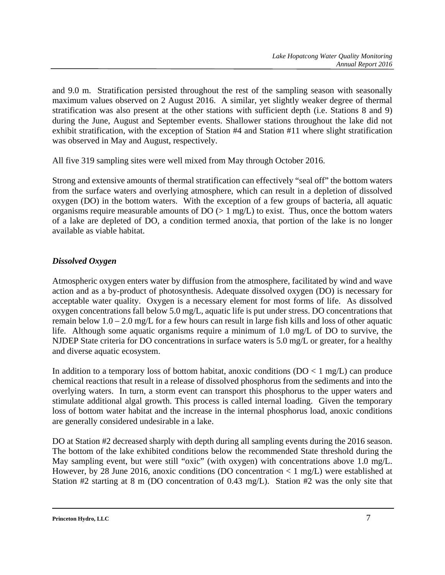and 9.0 m. Stratification persisted throughout the rest of the sampling season with seasonally maximum values observed on 2 August 2016. A similar, yet slightly weaker degree of thermal stratification was also present at the other stations with sufficient depth (i.e. Stations 8 and 9) during the June, August and September events. Shallower stations throughout the lake did not exhibit stratification, with the exception of Station #4 and Station #11 where slight stratification was observed in May and August, respectively.

All five 319 sampling sites were well mixed from May through October 2016.

Strong and extensive amounts of thermal stratification can effectively "seal off" the bottom waters from the surface waters and overlying atmosphere, which can result in a depletion of dissolved oxygen (DO) in the bottom waters. With the exception of a few groups of bacteria, all aquatic organisms require measurable amounts of  $DO \left( > 1 \text{ mg/L} \right)$  to exist. Thus, once the bottom waters of a lake are depleted of DO, a condition termed anoxia, that portion of the lake is no longer available as viable habitat.

#### *Dissolved Oxygen*

Atmospheric oxygen enters water by diffusion from the atmosphere, facilitated by wind and wave action and as a by-product of photosynthesis. Adequate dissolved oxygen (DO) is necessary for acceptable water quality. Oxygen is a necessary element for most forms of life. As dissolved oxygen concentrations fall below 5.0 mg/L, aquatic life is put under stress. DO concentrations that remain below 1.0 – 2.0 mg/L for a few hours can result in large fish kills and loss of other aquatic life. Although some aquatic organisms require a minimum of 1.0 mg/L of DO to survive, the NJDEP State criteria for DO concentrations in surface waters is 5.0 mg/L or greater, for a healthy and diverse aquatic ecosystem.

In addition to a temporary loss of bottom habitat, anoxic conditions  $(DO < 1 mg/L)$  can produce chemical reactions that result in a release of dissolved phosphorus from the sediments and into the overlying waters. In turn, a storm event can transport this phosphorus to the upper waters and stimulate additional algal growth. This process is called internal loading. Given the temporary loss of bottom water habitat and the increase in the internal phosphorus load, anoxic conditions are generally considered undesirable in a lake.

DO at Station #2 decreased sharply with depth during all sampling events during the 2016 season. The bottom of the lake exhibited conditions below the recommended State threshold during the May sampling event, but were still "oxic" (with oxygen) with concentrations above 1.0 mg/L. However, by 28 June 2016, anoxic conditions (DO concentration < 1 mg/L) were established at Station #2 starting at 8 m (DO concentration of 0.43 mg/L). Station #2 was the only site that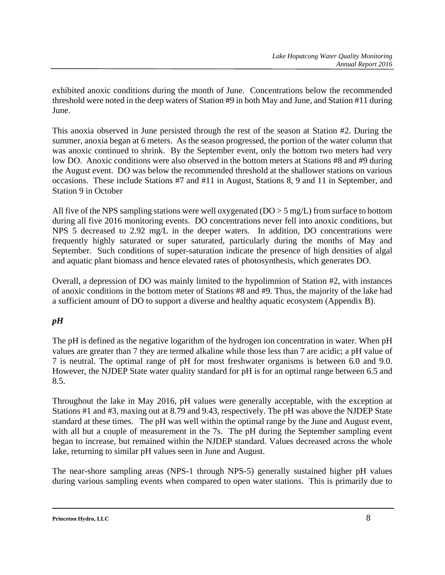exhibited anoxic conditions during the month of June. Concentrations below the recommended threshold were noted in the deep waters of Station #9 in both May and June, and Station #11 during June.

This anoxia observed in June persisted through the rest of the season at Station #2. During the summer, anoxia began at 6 meters. As the season progressed, the portion of the water column that was anoxic continued to shrink. By the September event, only the bottom two meters had very low DO. Anoxic conditions were also observed in the bottom meters at Stations #8 and #9 during the August event. DO was below the recommended threshold at the shallower stations on various occasions. These include Stations #7 and #11 in August, Stations 8, 9 and 11 in September, and Station 9 in October

All five of the NPS sampling stations were well oxygenated ( $DO > 5$  mg/L) from surface to bottom during all five 2016 monitoring events. DO concentrations never fell into anoxic conditions, but NPS 5 decreased to 2.92 mg/L in the deeper waters. In addition, DO concentrations were frequently highly saturated or super saturated, particularly during the months of May and September. Such conditions of super-saturation indicate the presence of high densities of algal and aquatic plant biomass and hence elevated rates of photosynthesis, which generates DO.

Overall, a depression of DO was mainly limited to the hypolimnion of Station #2, with instances of anoxic conditions in the bottom meter of Stations #8 and #9. Thus, the majority of the lake had a sufficient amount of DO to support a diverse and healthy aquatic ecosystem (Appendix B).

#### *pH*

The pH is defined as the negative logarithm of the hydrogen ion concentration in water. When pH values are greater than 7 they are termed alkaline while those less than 7 are acidic; a pH value of 7 is neutral. The optimal range of pH for most freshwater organisms is between 6.0 and 9.0. However, the NJDEP State water quality standard for pH is for an optimal range between 6.5 and 8.5.

Throughout the lake in May 2016, pH values were generally acceptable, with the exception at Stations #1 and #3, maxing out at 8.79 and 9.43, respectively. The pH was above the NJDEP State standard at these times. The pH was well within the optimal range by the June and August event, with all but a couple of measurement in the 7s. The pH during the September sampling event began to increase, but remained within the NJDEP standard. Values decreased across the whole lake, returning to similar pH values seen in June and August.

The near-shore sampling areas (NPS-1 through NPS-5) generally sustained higher pH values during various sampling events when compared to open water stations. This is primarily due to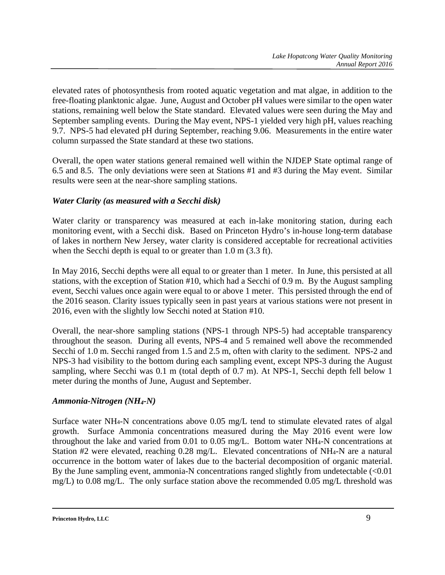elevated rates of photosynthesis from rooted aquatic vegetation and mat algae, in addition to the free-floating planktonic algae. June, August and October pH values were similar to the open water stations, remaining well below the State standard. Elevated values were seen during the May and September sampling events. During the May event, NPS-1 yielded very high pH, values reaching 9.7. NPS-5 had elevated pH during September, reaching 9.06. Measurements in the entire water column surpassed the State standard at these two stations.

Overall, the open water stations general remained well within the NJDEP State optimal range of 6.5 and 8.5. The only deviations were seen at Stations #1 and #3 during the May event. Similar results were seen at the near-shore sampling stations.

#### *Water Clarity (as measured with a Secchi disk)*

Water clarity or transparency was measured at each in-lake monitoring station, during each monitoring event, with a Secchi disk. Based on Princeton Hydro's in-house long-term database of lakes in northern New Jersey, water clarity is considered acceptable for recreational activities when the Secchi depth is equal to or greater than 1.0 m (3.3 ft).

In May 2016, Secchi depths were all equal to or greater than 1 meter. In June, this persisted at all stations, with the exception of Station #10, which had a Secchi of 0.9 m. By the August sampling event, Secchi values once again were equal to or above 1 meter. This persisted through the end of the 2016 season. Clarity issues typically seen in past years at various stations were not present in 2016, even with the slightly low Secchi noted at Station #10.

Overall, the near-shore sampling stations (NPS-1 through NPS-5) had acceptable transparency throughout the season. During all events, NPS-4 and 5 remained well above the recommended Secchi of 1.0 m. Secchi ranged from 1.5 and 2.5 m, often with clarity to the sediment. NPS-2 and NPS-3 had visibility to the bottom during each sampling event, except NPS-3 during the August sampling, where Secchi was 0.1 m (total depth of 0.7 m). At NPS-1, Secchi depth fell below 1 meter during the months of June, August and September.

#### *Ammonia-Nitrogen (NH4-N)*

Surface water NH4-N concentrations above 0.05 mg/L tend to stimulate elevated rates of algal growth. Surface Ammonia concentrations measured during the May 2016 event were low throughout the lake and varied from 0.01 to 0.05 mg/L. Bottom water NH4-N concentrations at Station #2 were elevated, reaching 0.28 mg/L. Elevated concentrations of NH4-N are a natural occurrence in the bottom water of lakes due to the bacterial decomposition of organic material. By the June sampling event, ammonia-N concentrations ranged slightly from undetectable  $\leq 0.01$ mg/L) to 0.08 mg/L. The only surface station above the recommended 0.05 mg/L threshold was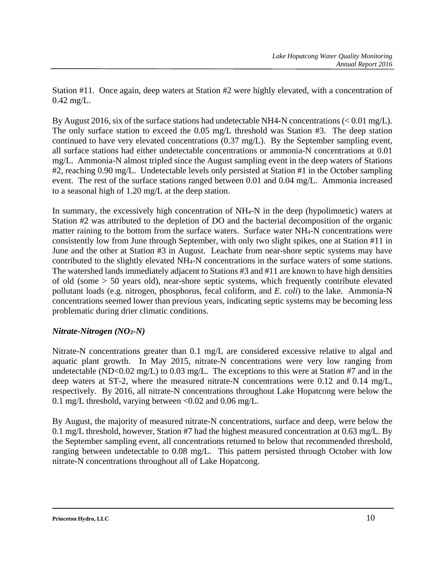Station #11. Once again, deep waters at Station #2 were highly elevated, with a concentration of 0.42 mg/L.

By August 2016, six of the surface stations had undetectable NH4-N concentrations ( $< 0.01$  mg/L). The only surface station to exceed the 0.05 mg/L threshold was Station #3. The deep station continued to have very elevated concentrations (0.37 mg/L). By the September sampling event, all surface stations had either undetectable concentrations or ammonia-N concentrations at 0.01 mg/L. Ammonia-N almost tripled since the August sampling event in the deep waters of Stations #2, reaching 0.90 mg/L. Undetectable levels only persisted at Station #1 in the October sampling event. The rest of the surface stations ranged between 0.01 and 0.04 mg/L. Ammonia increased to a seasonal high of 1.20 mg/L at the deep station.

In summary, the excessively high concentration of NH4-N in the deep (hypolimnetic) waters at Station #2 was attributed to the depletion of DO and the bacterial decomposition of the organic matter raining to the bottom from the surface waters. Surface water NH<sub>4</sub>-N concentrations were consistently low from June through September, with only two slight spikes, one at Station #11 in June and the other at Station #3 in August. Leachate from near-shore septic systems may have contributed to the slightly elevated NH4-N concentrations in the surface waters of some stations. The watershed lands immediately adjacent to Stations #3 and #11 are known to have high densities of old (some > 50 years old), near-shore septic systems, which frequently contribute elevated pollutant loads (e.g. nitrogen, phosphorus, fecal coliform, and *E. coli*) to the lake. Ammonia-N concentrations seemed lower than previous years, indicating septic systems may be becoming less problematic during drier climatic conditions.

#### *Nitrate-Nitrogen (NO3-N)*

Nitrate-N concentrations greater than 0.1 mg/L are considered excessive relative to algal and aquatic plant growth. In May 2015, nitrate-N concentrations were very low ranging from undetectable (ND<0.02 mg/L) to 0.03 mg/L. The exceptions to this were at Station #7 and in the deep waters at ST-2, where the measured nitrate-N concentrations were 0.12 and 0.14 mg/L, respectively. By 2016, all nitrate-N concentrations throughout Lake Hopatcong were below the 0.1 mg/L threshold, varying between <0.02 and 0.06 mg/L.

By August, the majority of measured nitrate-N concentrations, surface and deep, were below the 0.1 mg/L threshold, however, Station #7 had the highest measured concentration at 0.63 mg/L. By the September sampling event, all concentrations returned to below that recommended threshold, ranging between undetectable to 0.08 mg/L. This pattern persisted through October with low nitrate-N concentrations throughout all of Lake Hopatcong.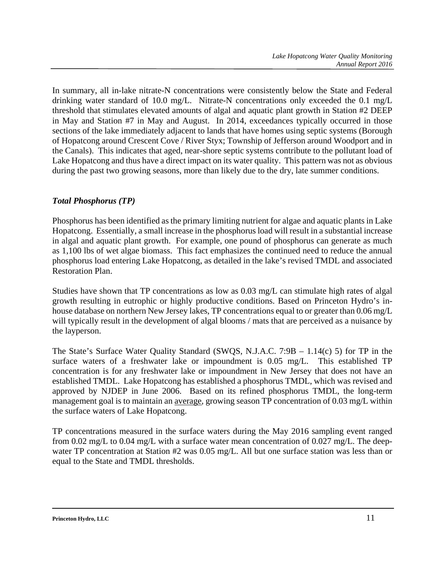In summary, all in-lake nitrate-N concentrations were consistently below the State and Federal drinking water standard of 10.0 mg/L. Nitrate-N concentrations only exceeded the 0.1 mg/L threshold that stimulates elevated amounts of algal and aquatic plant growth in Station #2 DEEP in May and Station #7 in May and August. In 2014, exceedances typically occurred in those sections of the lake immediately adjacent to lands that have homes using septic systems (Borough of Hopatcong around Crescent Cove / River Styx; Township of Jefferson around Woodport and in the Canals). This indicates that aged, near-shore septic systems contribute to the pollutant load of Lake Hopatcong and thus have a direct impact on its water quality. This pattern was not as obvious during the past two growing seasons, more than likely due to the dry, late summer conditions.

#### *Total Phosphorus (TP)*

Phosphorus has been identified as the primary limiting nutrient for algae and aquatic plants in Lake Hopatcong. Essentially, a small increase in the phosphorus load will result in a substantial increase in algal and aquatic plant growth. For example, one pound of phosphorus can generate as much as 1,100 lbs of wet algae biomass. This fact emphasizes the continued need to reduce the annual phosphorus load entering Lake Hopatcong, as detailed in the lake's revised TMDL and associated Restoration Plan.

Studies have shown that TP concentrations as low as 0.03 mg/L can stimulate high rates of algal growth resulting in eutrophic or highly productive conditions. Based on Princeton Hydro's inhouse database on northern New Jersey lakes, TP concentrations equal to or greater than 0.06 mg/L will typically result in the development of algal blooms / mats that are perceived as a nuisance by the layperson.

The State's Surface Water Quality Standard (SWQS, N.J.A.C. 7:9B – 1.14(c) 5) for TP in the surface waters of a freshwater lake or impoundment is 0.05 mg/L. This established TP concentration is for any freshwater lake or impoundment in New Jersey that does not have an established TMDL. Lake Hopatcong has established a phosphorus TMDL, which was revised and approved by NJDEP in June 2006. Based on its refined phosphorus TMDL, the long-term management goal is to maintain an average, growing season TP concentration of 0.03 mg/L within the surface waters of Lake Hopatcong.

TP concentrations measured in the surface waters during the May 2016 sampling event ranged from 0.02 mg/L to 0.04 mg/L with a surface water mean concentration of 0.027 mg/L. The deepwater TP concentration at Station #2 was 0.05 mg/L. All but one surface station was less than or equal to the State and TMDL thresholds.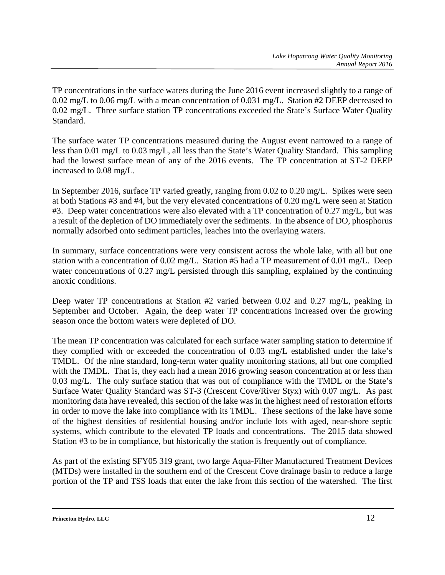TP concentrations in the surface waters during the June 2016 event increased slightly to a range of 0.02 mg/L to 0.06 mg/L with a mean concentration of 0.031 mg/L. Station #2 DEEP decreased to 0.02 mg/L. Three surface station TP concentrations exceeded the State's Surface Water Quality Standard.

The surface water TP concentrations measured during the August event narrowed to a range of less than 0.01 mg/L to 0.03 mg/L, all less than the State's Water Quality Standard. This sampling had the lowest surface mean of any of the 2016 events. The TP concentration at ST-2 DEEP increased to 0.08 mg/L.

In September 2016, surface TP varied greatly, ranging from 0.02 to 0.20 mg/L. Spikes were seen at both Stations #3 and #4, but the very elevated concentrations of 0.20 mg/L were seen at Station #3. Deep water concentrations were also elevated with a TP concentration of 0.27 mg/L, but was a result of the depletion of DO immediately over the sediments. In the absence of DO, phosphorus normally adsorbed onto sediment particles, leaches into the overlaying waters.

In summary, surface concentrations were very consistent across the whole lake, with all but one station with a concentration of 0.02 mg/L. Station #5 had a TP measurement of 0.01 mg/L. Deep water concentrations of 0.27 mg/L persisted through this sampling, explained by the continuing anoxic conditions.

Deep water TP concentrations at Station #2 varied between 0.02 and 0.27 mg/L, peaking in September and October. Again, the deep water TP concentrations increased over the growing season once the bottom waters were depleted of DO.

The mean TP concentration was calculated for each surface water sampling station to determine if they complied with or exceeded the concentration of 0.03 mg/L established under the lake's TMDL. Of the nine standard, long-term water quality monitoring stations, all but one complied with the TMDL. That is, they each had a mean 2016 growing season concentration at or less than 0.03 mg/L. The only surface station that was out of compliance with the TMDL or the State's Surface Water Quality Standard was ST-3 (Crescent Cove/River Styx) with 0.07 mg/L. As past monitoring data have revealed, this section of the lake was in the highest need of restoration efforts in order to move the lake into compliance with its TMDL. These sections of the lake have some of the highest densities of residential housing and/or include lots with aged, near-shore septic systems, which contribute to the elevated TP loads and concentrations. The 2015 data showed Station #3 to be in compliance, but historically the station is frequently out of compliance.

As part of the existing SFY05 319 grant, two large Aqua-Filter Manufactured Treatment Devices (MTDs) were installed in the southern end of the Crescent Cove drainage basin to reduce a large portion of the TP and TSS loads that enter the lake from this section of the watershed. The first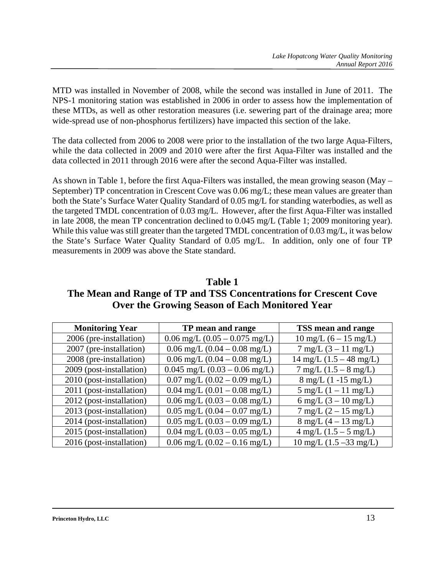MTD was installed in November of 2008, while the second was installed in June of 2011. The NPS-1 monitoring station was established in 2006 in order to assess how the implementation of these MTDs, as well as other restoration measures (i.e. sewering part of the drainage area; more wide-spread use of non-phosphorus fertilizers) have impacted this section of the lake.

The data collected from 2006 to 2008 were prior to the installation of the two large Aqua-Filters, while the data collected in 2009 and 2010 were after the first Aqua-Filter was installed and the data collected in 2011 through 2016 were after the second Aqua-Filter was installed.

As shown in Table 1, before the first Aqua-Filters was installed, the mean growing season (May – September) TP concentration in Crescent Cove was 0.06 mg/L; these mean values are greater than both the State's Surface Water Quality Standard of 0.05 mg/L for standing waterbodies, as well as the targeted TMDL concentration of 0.03 mg/L. However, after the first Aqua-Filter was installed in late 2008, the mean TP concentration declined to 0.045 mg/L (Table 1; 2009 monitoring year). While this value was still greater than the targeted TMDL concentration of 0.03 mg/L, it was below the State's Surface Water Quality Standard of 0.05 mg/L. In addition, only one of four TP measurements in 2009 was above the State standard.

### **Table 1 The Mean and Range of TP and TSS Concentrations for Crescent Cove Over the Growing Season of Each Monitored Year**

| <b>Monitoring Year</b>   | TP mean and range                 | TSS mean and range                      |
|--------------------------|-----------------------------------|-----------------------------------------|
| 2006 (pre-installation)  | $0.06$ mg/L $(0.05 - 0.075$ mg/L) | $10 \text{ mg/L} (6 - 15 \text{ mg/L})$ |
| 2007 (pre-installation)  | $0.06$ mg/L $(0.04 - 0.08$ mg/L)  | $7 \text{ mg/L} (3 - 11 \text{ mg/L})$  |
| 2008 (pre-installation)  | $0.06$ mg/L $(0.04 - 0.08$ mg/L)  | $14$ mg/L $(1.5 - 48$ mg/L)             |
| 2009 (post-installation) | $0.045$ mg/L $(0.03 - 0.06$ mg/L) | $7 \text{ mg/L} (1.5 - 8 \text{ mg/L})$ |
| 2010 (post-installation) | $0.07$ mg/L $(0.02 - 0.09$ mg/L)  | $8 \text{ mg/L}$ (1 -15 mg/L)           |
| 2011 (post-installation) | $0.04$ mg/L $(0.01 - 0.08$ mg/L)  | $5 \text{ mg/L} (1 - 11 \text{ mg/L})$  |
| 2012 (post-installation) | $0.06$ mg/L $(0.03 - 0.08$ mg/L)  | 6 mg/L $(3 - 10 \text{ mg/L})$          |
| 2013 (post-installation) | $0.05$ mg/L $(0.04 - 0.07$ mg/L)  | $7 \text{ mg/L} (2 - 15 \text{ mg/L})$  |
| 2014 (post-installation) | $0.05$ mg/L $(0.03 - 0.09$ mg/L)  | $8 \text{ mg/L} (4 - 13 \text{ mg/L})$  |
| 2015 (post-installation) | $0.04$ mg/L $(0.03 - 0.05$ mg/L)  | $4 \text{ mg/L} (1.5 - 5 \text{ mg/L})$ |
| 2016 (post-installation) | $0.06$ mg/L $(0.02 - 0.16$ mg/L)  | $10 \text{ mg/L}$ (1.5 – 33 mg/L)       |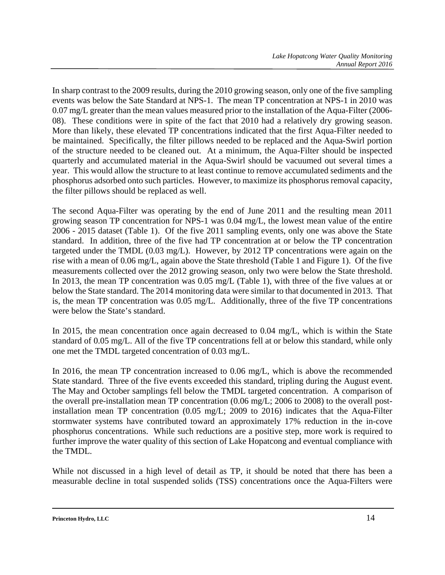In sharp contrast to the 2009 results, during the 2010 growing season, only one of the five sampling events was below the Sate Standard at NPS-1. The mean TP concentration at NPS-1 in 2010 was 0.07 mg/L greater than the mean values measured prior to the installation of the Aqua-Filter (2006- 08). These conditions were in spite of the fact that 2010 had a relatively dry growing season. More than likely, these elevated TP concentrations indicated that the first Aqua-Filter needed to be maintained. Specifically, the filter pillows needed to be replaced and the Aqua-Swirl portion of the structure needed to be cleaned out. At a minimum, the Aqua-Filter should be inspected quarterly and accumulated material in the Aqua-Swirl should be vacuumed out several times a year. This would allow the structure to at least continue to remove accumulated sediments and the phosphorus adsorbed onto such particles. However, to maximize its phosphorus removal capacity, the filter pillows should be replaced as well.

The second Aqua-Filter was operating by the end of June 2011 and the resulting mean 2011 growing season TP concentration for NPS-1 was 0.04 mg/L, the lowest mean value of the entire 2006 - 2015 dataset (Table 1). Of the five 2011 sampling events, only one was above the State standard. In addition, three of the five had TP concentration at or below the TP concentration targeted under the TMDL (0.03 mg/L). However, by 2012 TP concentrations were again on the rise with a mean of 0.06 mg/L, again above the State threshold (Table 1 and Figure 1). Of the five measurements collected over the 2012 growing season, only two were below the State threshold. In 2013, the mean TP concentration was 0.05 mg/L (Table 1), with three of the five values at or below the State standard. The 2014 monitoring data were similar to that documented in 2013. That is, the mean TP concentration was 0.05 mg/L. Additionally, three of the five TP concentrations were below the State's standard.

In 2015, the mean concentration once again decreased to 0.04 mg/L, which is within the State standard of 0.05 mg/L. All of the five TP concentrations fell at or below this standard, while only one met the TMDL targeted concentration of 0.03 mg/L.

In 2016, the mean TP concentration increased to 0.06 mg/L, which is above the recommended State standard. Three of the five events exceeded this standard, tripling during the August event. The May and October samplings fell below the TMDL targeted concentration. A comparison of the overall pre-installation mean TP concentration (0.06 mg/L; 2006 to 2008) to the overall postinstallation mean TP concentration (0.05 mg/L; 2009 to 2016) indicates that the Aqua-Filter stormwater systems have contributed toward an approximately 17% reduction in the in-cove phosphorus concentrations. While such reductions are a positive step, more work is required to further improve the water quality of this section of Lake Hopatcong and eventual compliance with the TMDL.

While not discussed in a high level of detail as TP, it should be noted that there has been a measurable decline in total suspended solids (TSS) concentrations once the Aqua-Filters were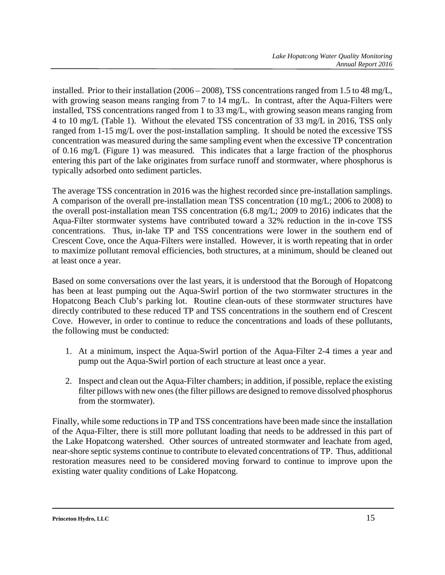installed. Prior to their installation (2006 – 2008), TSS concentrations ranged from 1.5 to 48 mg/L, with growing season means ranging from 7 to 14 mg/L. In contrast, after the Aqua-Filters were installed, TSS concentrations ranged from 1 to 33 mg/L, with growing season means ranging from 4 to 10 mg/L (Table 1). Without the elevated TSS concentration of 33 mg/L in 2016, TSS only ranged from 1-15 mg/L over the post-installation sampling. It should be noted the excessive TSS concentration was measured during the same sampling event when the excessive TP concentration of 0.16 mg/L (Figure 1) was measured. This indicates that a large fraction of the phosphorus entering this part of the lake originates from surface runoff and stormwater, where phosphorus is typically adsorbed onto sediment particles.

The average TSS concentration in 2016 was the highest recorded since pre-installation samplings. A comparison of the overall pre-installation mean TSS concentration (10 mg/L; 2006 to 2008) to the overall post-installation mean TSS concentration (6.8 mg/L; 2009 to 2016) indicates that the Aqua-Filter stormwater systems have contributed toward a 32% reduction in the in-cove TSS concentrations. Thus, in-lake TP and TSS concentrations were lower in the southern end of Crescent Cove, once the Aqua-Filters were installed. However, it is worth repeating that in order to maximize pollutant removal efficiencies, both structures, at a minimum, should be cleaned out at least once a year.

Based on some conversations over the last years, it is understood that the Borough of Hopatcong has been at least pumping out the Aqua-Swirl portion of the two stormwater structures in the Hopatcong Beach Club's parking lot. Routine clean-outs of these stormwater structures have directly contributed to these reduced TP and TSS concentrations in the southern end of Crescent Cove. However, in order to continue to reduce the concentrations and loads of these pollutants, the following must be conducted:

- 1. At a minimum, inspect the Aqua-Swirl portion of the Aqua-Filter 2-4 times a year and pump out the Aqua-Swirl portion of each structure at least once a year.
- 2. Inspect and clean out the Aqua-Filter chambers; in addition, if possible, replace the existing filter pillows with new ones (the filter pillows are designed to remove dissolved phosphorus from the stormwater).

Finally, while some reductions in TP and TSS concentrations have been made since the installation of the Aqua-Filter, there is still more pollutant loading that needs to be addressed in this part of the Lake Hopatcong watershed. Other sources of untreated stormwater and leachate from aged, near-shore septic systems continue to contribute to elevated concentrations of TP. Thus, additional restoration measures need to be considered moving forward to continue to improve upon the existing water quality conditions of Lake Hopatcong.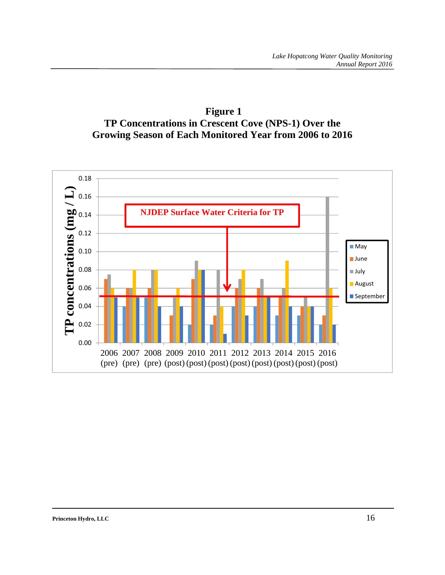**Figure 1 TP Concentrations in Crescent Cove (NPS-1) Over the Growing Season of Each Monitored Year from 2006 to 2016**

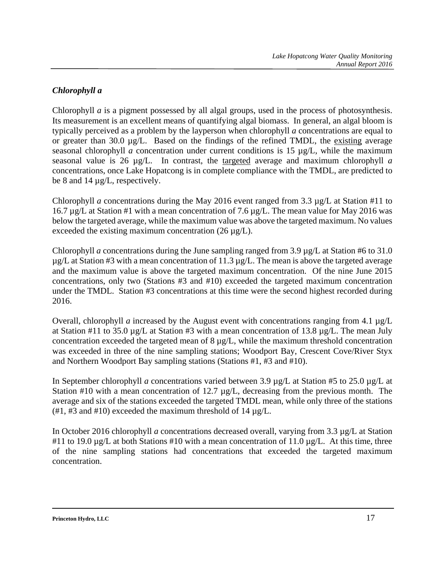#### *Chlorophyll a*

Chlorophyll *a* is a pigment possessed by all algal groups, used in the process of photosynthesis. Its measurement is an excellent means of quantifying algal biomass. In general, an algal bloom is typically perceived as a problem by the layperson when chlorophyll *a* concentrations are equal to or greater than 30.0 µg/L. Based on the findings of the refined TMDL, the existing average seasonal chlorophyll *a* concentration under current conditions is 15 µg/L, while the maximum seasonal value is 26 µg/L. In contrast, the targeted average and maximum chlorophyll *a* concentrations, once Lake Hopatcong is in complete compliance with the TMDL, are predicted to be 8 and 14 µg/L, respectively.

Chlorophyll *a* concentrations during the May 2016 event ranged from 3.3 µg/L at Station #11 to 16.7 µg/L at Station #1 with a mean concentration of 7.6 µg/L. The mean value for May 2016 was below the targeted average, while the maximum value was above the targeted maximum. No values exceeded the existing maximum concentration  $(26 \mu g/L)$ .

Chlorophyll *a* concentrations during the June sampling ranged from 3.9  $\mu$ g/L at Station #6 to 31.0  $\mu$ g/L at Station #3 with a mean concentration of 11.3  $\mu$ g/L. The mean is above the targeted average and the maximum value is above the targeted maximum concentration. Of the nine June 2015 concentrations, only two (Stations #3 and #10) exceeded the targeted maximum concentration under the TMDL. Station #3 concentrations at this time were the second highest recorded during 2016.

Overall, chlorophyll *a* increased by the August event with concentrations ranging from 4.1 µg/L at Station #11 to 35.0 µg/L at Station #3 with a mean concentration of 13.8 µg/L. The mean July concentration exceeded the targeted mean of 8 µg/L, while the maximum threshold concentration was exceeded in three of the nine sampling stations; Woodport Bay, Crescent Cove/River Styx and Northern Woodport Bay sampling stations (Stations #1, #3 and #10).

In September chlorophyll *a* concentrations varied between 3.9 µg/L at Station #5 to 25.0 µg/L at Station #10 with a mean concentration of 12.7  $\mu$ g/L, decreasing from the previous month. The average and six of the stations exceeded the targeted TMDL mean, while only three of the stations (#1, #3 and #10) exceeded the maximum threshold of 14  $\mu$ g/L.

In October 2016 chlorophyll *a* concentrations decreased overall, varying from 3.3 µg/L at Station #11 to 19.0  $\mu$ g/L at both Stations #10 with a mean concentration of 11.0  $\mu$ g/L. At this time, three of the nine sampling stations had concentrations that exceeded the targeted maximum concentration.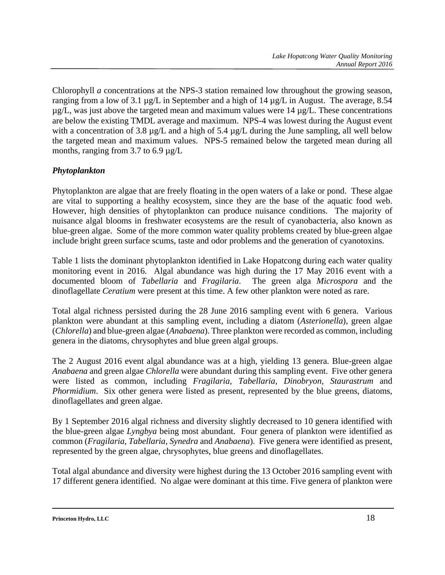Chlorophyll *a* concentrations at the NPS-3 station remained low throughout the growing season, ranging from a low of 3.1  $\mu$ g/L in September and a high of 14  $\mu$ g/L in August. The average, 8.54  $\mu$ g/L, was just above the targeted mean and maximum values were 14  $\mu$ g/L. These concentrations are below the existing TMDL average and maximum. NPS-4 was lowest during the August event with a concentration of 3.8  $\mu$ g/L and a high of 5.4  $\mu$ g/L during the June sampling, all well below the targeted mean and maximum values. NPS-5 remained below the targeted mean during all months, ranging from 3.7 to 6.9  $\mu$ g/L

#### *Phytoplankton*

Phytoplankton are algae that are freely floating in the open waters of a lake or pond. These algae are vital to supporting a healthy ecosystem, since they are the base of the aquatic food web. However, high densities of phytoplankton can produce nuisance conditions. The majority of nuisance algal blooms in freshwater ecosystems are the result of cyanobacteria, also known as blue-green algae. Some of the more common water quality problems created by blue-green algae include bright green surface scums, taste and odor problems and the generation of cyanotoxins.

Table 1 lists the dominant phytoplankton identified in Lake Hopatcong during each water quality monitoring event in 2016. Algal abundance was high during the 17 May 2016 event with a documented bloom of *Tabellaria* and *Fragilaria*. The green alga *Microspora* and the dinoflagellate *Ceratium* were present at this time. A few other plankton were noted as rare.

Total algal richness persisted during the 28 June 2016 sampling event with 6 genera. Various plankton were abundant at this sampling event, including a diatom (*Asterionella*), green algae (*Chlorella*) and blue-green algae (*Anabaena*). Three plankton were recorded as common, including genera in the diatoms, chrysophytes and blue green algal groups.

The 2 August 2016 event algal abundance was at a high, yielding 13 genera. Blue-green algae *Anabaena* and green algae *Chlorella* were abundant during this sampling event. Five other genera were listed as common, including *Fragilaria, Tabellaria, Dinobryon, Staurastrum* and *Phormidium.* Six other genera were listed as present, represented by the blue greens, diatoms, dinoflagellates and green algae.

By 1 September 2016 algal richness and diversity slightly decreased to 10 genera identified with the blue-green algae *Lyngbya* being most abundant. Four genera of plankton were identified as common (*Fragilaria*, *Tabellaria, Synedra* and *Anabaena*). Five genera were identified as present, represented by the green algae, chrysophytes, blue greens and dinoflagellates.

Total algal abundance and diversity were highest during the 13 October 2016 sampling event with 17 different genera identified. No algae were dominant at this time. Five genera of plankton were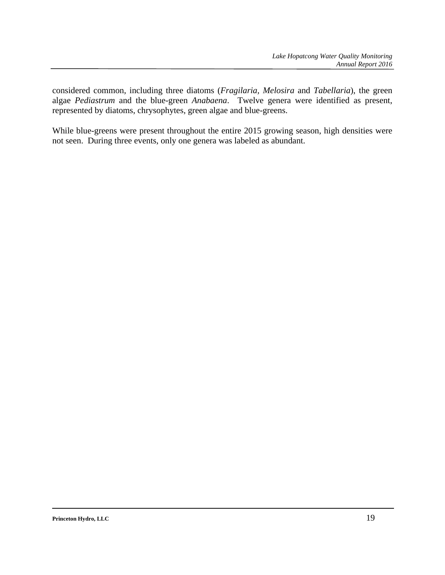considered common, including three diatoms (*Fragilaria, Melosira* and *Tabellaria*), the green algae *Pediastrum* and the blue-green *Anabaena*. Twelve genera were identified as present, represented by diatoms, chrysophytes, green algae and blue-greens.

While blue-greens were present throughout the entire 2015 growing season, high densities were not seen. During three events, only one genera was labeled as abundant.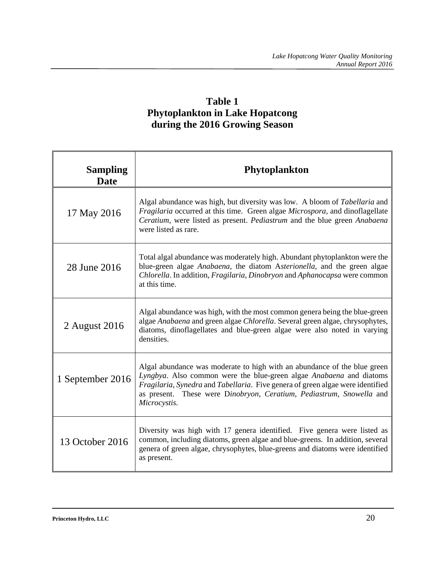### **Table 1 Phytoplankton in Lake Hopatcong during the 2016 Growing Season**

| <b>Sampling</b><br><b>Date</b> | <b>Phytoplankton</b>                                                                                                                                                                                                                                                                                                      |
|--------------------------------|---------------------------------------------------------------------------------------------------------------------------------------------------------------------------------------------------------------------------------------------------------------------------------------------------------------------------|
| 17 May 2016                    | Algal abundance was high, but diversity was low. A bloom of Tabellaria and<br>Fragilaria occurred at this time. Green algae Microspora, and dinoflagellate<br>Ceratium, were listed as present. Pediastrum and the blue green Anabaena<br>were listed as rare.                                                            |
| 28 June 2016                   | Total algal abundance was moderately high. Abundant phytoplankton were the<br>blue-green algae Anabaena, the diatom Asterionella, and the green algae<br>Chlorella. In addition, Fragilaria, Dinobryon and Aphanocapsa were common<br>at this time.                                                                       |
| 2 August 2016                  | Algal abundance was high, with the most common genera being the blue-green<br>algae Anabaena and green algae Chlorella. Several green algae, chrysophytes,<br>diatoms, dinoflagellates and blue-green algae were also noted in varying<br>densities.                                                                      |
| 1 September 2016               | Algal abundance was moderate to high with an abundance of the blue green<br>Lyngbya. Also common were the blue-green algae Anabaena and diatoms<br>Fragilaria, Synedra and Tabellaria. Five genera of green algae were identified<br>as present. These were Dinobryon, Ceratium, Pediastrum, Snowella and<br>Microcystis. |
| 13 October 2016                | Diversity was high with 17 genera identified. Five genera were listed as<br>common, including diatoms, green algae and blue-greens. In addition, several<br>genera of green algae, chrysophytes, blue-greens and diatoms were identified<br>as present.                                                                   |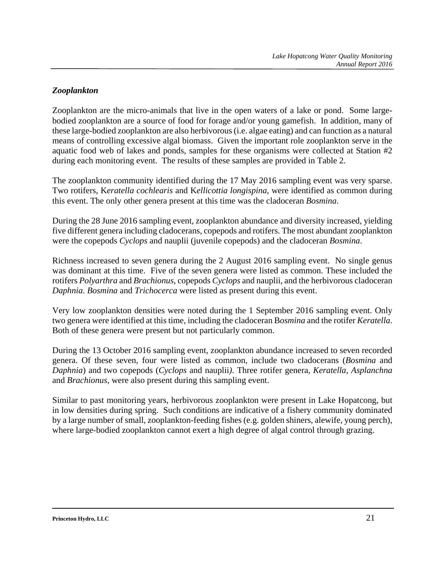#### *Zooplankton*

Zooplankton are the micro-animals that live in the open waters of a lake or pond. Some largebodied zooplankton are a source of food for forage and/or young gamefish. In addition, many of these large-bodied zooplankton are also herbivorous (i.e. algae eating) and can function as a natural means of controlling excessive algal biomass. Given the important role zooplankton serve in the aquatic food web of lakes and ponds, samples for these organisms were collected at Station #2 during each monitoring event. The results of these samples are provided in Table 2.

The zooplankton community identified during the 17 May 2016 sampling event was very sparse. Two rotifers, K*eratella cochlearis* and K*ellicottia longispina*, were identified as common during this event. The only other genera present at this time was the cladoceran *Bosmina*.

During the 28 June 2016 sampling event, zooplankton abundance and diversity increased, yielding five different genera including cladocerans, copepods and rotifers. The most abundant zooplankton were the copepods *Cyclops* and nauplii (juvenile copepods) and the cladoceran *Bosmina*.

Richness increased to seven genera during the 2 August 2016 sampling event. No single genus was dominant at this time. Five of the seven genera were listed as common. These included the rotifers *Polyarthra* and *Brachionus*, copepods *Cyclops* and nauplii, and the herbivorous cladoceran *Daphnia*. *Bosmina* and *Trichocerca* were listed as present during this event.

Very low zooplankton densities were noted during the 1 September 2016 sampling event. Only two genera were identified at this time, including the cladoceran B*osmina* and the rotifer *Keratella*. Both of these genera were present but not particularly common.

During the 13 October 2016 sampling event, zooplankton abundance increased to seven recorded genera. Of these seven, four were listed as common, include two cladocerans (*Bosmina* and *Daphnia*) and two copepods (*Cyclops* and nauplii*)*. Three rotifer genera, *Keratella, Asplanchna*  and *Brachionus*, were also present during this sampling event.

Similar to past monitoring years, herbivorous zooplankton were present in Lake Hopatcong, but in low densities during spring. Such conditions are indicative of a fishery community dominated by a large number of small, zooplankton-feeding fishes (e.g. golden shiners, alewife, young perch), where large-bodied zooplankton cannot exert a high degree of algal control through grazing.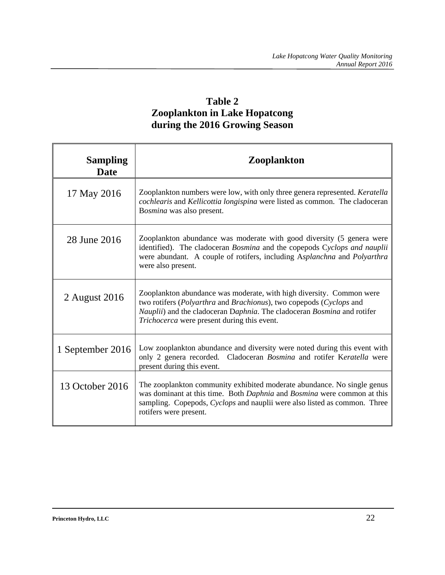### **Table 2 Zooplankton in Lake Hopatcong during the 2016 Growing Season**

| <b>Sampling</b><br><b>Date</b> | <b>Zooplankton</b>                                                                                                                                                                                                                                                    |
|--------------------------------|-----------------------------------------------------------------------------------------------------------------------------------------------------------------------------------------------------------------------------------------------------------------------|
| 17 May 2016                    | Zooplankton numbers were low, with only three genera represented. Keratella<br>cochlearis and Kellicottia longispina were listed as common. The cladoceran<br>Bosmina was also present.                                                                               |
| 28 June 2016                   | Zooplankton abundance was moderate with good diversity (5 genera were<br>identified). The cladoceran Bosmina and the copepods Cyclops and nauplii<br>were abundant. A couple of rotifers, including Asplanchna and Polyarthra<br>were also present.                   |
| 2 August 2016                  | Zooplankton abundance was moderate, with high diversity. Common were<br>two rotifers (Polyarthra and Brachionus), two copepods (Cyclops and<br>Nauplii) and the cladoceran Daphnia. The cladoceran Bosmina and rotifer<br>Trichocerca were present during this event. |
| 1 September 2016               | Low zooplankton abundance and diversity were noted during this event with<br>only 2 genera recorded.<br>Cladoceran Bosmina and rotifer Keratella were<br>present during this event.                                                                                   |
| 13 October 2016                | The zooplankton community exhibited moderate abundance. No single genus<br>was dominant at this time. Both Daphnia and Bosmina were common at this<br>sampling. Copepods, Cyclops and nauplii were also listed as common. Three<br>rotifers were present.             |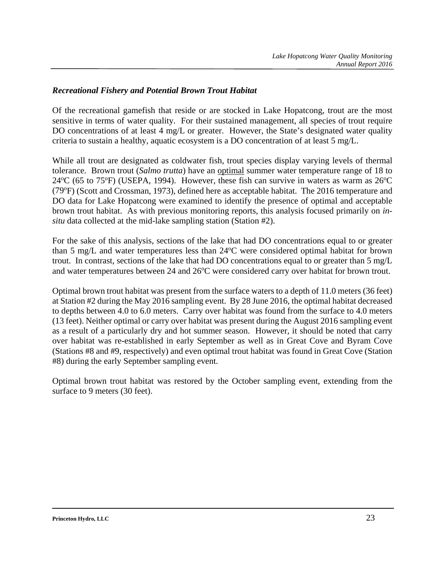#### *Recreational Fishery and Potential Brown Trout Habitat*

Of the recreational gamefish that reside or are stocked in Lake Hopatcong, trout are the most sensitive in terms of water quality. For their sustained management, all species of trout require DO concentrations of at least 4 mg/L or greater. However, the State's designated water quality criteria to sustain a healthy, aquatic ecosystem is a DO concentration of at least 5 mg/L.

While all trout are designated as coldwater fish, trout species display varying levels of thermal tolerance. Brown trout (*Salmo trutta*) have an optimal summer water temperature range of 18 to  $24^{\circ}$ C (65 to 75°F) (USEPA, 1994). However, these fish can survive in waters as warm as  $26^{\circ}$ C (79°F) (Scott and Crossman, 1973), defined here as acceptable habitat. The 2016 temperature and DO data for Lake Hopatcong were examined to identify the presence of optimal and acceptable brown trout habitat. As with previous monitoring reports, this analysis focused primarily on *insitu* data collected at the mid-lake sampling station (Station #2).

For the sake of this analysis, sections of the lake that had DO concentrations equal to or greater than 5 mg/L and water temperatures less than  $24^{\circ}$ C were considered optimal habitat for brown trout. In contrast, sections of the lake that had DO concentrations equal to or greater than 5 mg/L and water temperatures between 24 and 26°C were considered carry over habitat for brown trout.

Optimal brown trout habitat was present from the surface waters to a depth of 11.0 meters (36 feet) at Station #2 during the May 2016 sampling event. By 28 June 2016, the optimal habitat decreased to depths between 4.0 to 6.0 meters. Carry over habitat was found from the surface to 4.0 meters (13 feet). Neither optimal or carry over habitat was present during the August 2016 sampling event as a result of a particularly dry and hot summer season. However, it should be noted that carry over habitat was re-established in early September as well as in Great Cove and Byram Cove (Stations #8 and #9, respectively) and even optimal trout habitat was found in Great Cove (Station #8) during the early September sampling event.

Optimal brown trout habitat was restored by the October sampling event, extending from the surface to 9 meters (30 feet).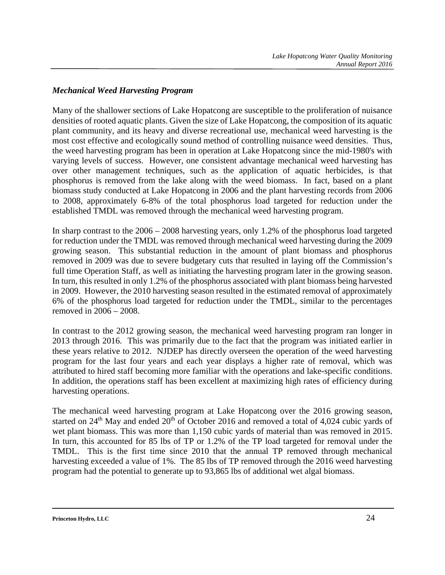#### *Mechanical Weed Harvesting Program*

Many of the shallower sections of Lake Hopatcong are susceptible to the proliferation of nuisance densities of rooted aquatic plants. Given the size of Lake Hopatcong, the composition of its aquatic plant community, and its heavy and diverse recreational use, mechanical weed harvesting is the most cost effective and ecologically sound method of controlling nuisance weed densities. Thus, the weed harvesting program has been in operation at Lake Hopatcong since the mid-1980's with varying levels of success. However, one consistent advantage mechanical weed harvesting has over other management techniques, such as the application of aquatic herbicides, is that phosphorus is removed from the lake along with the weed biomass. In fact, based on a plant biomass study conducted at Lake Hopatcong in 2006 and the plant harvesting records from 2006 to 2008, approximately 6-8% of the total phosphorus load targeted for reduction under the established TMDL was removed through the mechanical weed harvesting program.

In sharp contrast to the 2006 – 2008 harvesting years, only 1.2% of the phosphorus load targeted for reduction under the TMDL was removed through mechanical weed harvesting during the 2009 growing season. This substantial reduction in the amount of plant biomass and phosphorus removed in 2009 was due to severe budgetary cuts that resulted in laying off the Commission's full time Operation Staff, as well as initiating the harvesting program later in the growing season. In turn, this resulted in only 1.2% of the phosphorus associated with plant biomass being harvested in 2009. However, the 2010 harvesting season resulted in the estimated removal of approximately 6% of the phosphorus load targeted for reduction under the TMDL, similar to the percentages removed in 2006 – 2008.

In contrast to the 2012 growing season, the mechanical weed harvesting program ran longer in 2013 through 2016. This was primarily due to the fact that the program was initiated earlier in these years relative to 2012. NJDEP has directly overseen the operation of the weed harvesting program for the last four years and each year displays a higher rate of removal, which was attributed to hired staff becoming more familiar with the operations and lake-specific conditions. In addition, the operations staff has been excellent at maximizing high rates of efficiency during harvesting operations.

The mechanical weed harvesting program at Lake Hopatcong over the 2016 growing season, started on 24<sup>th</sup> May and ended  $20^{th}$  of October 2016 and removed a total of 4,024 cubic yards of wet plant biomass. This was more than 1,150 cubic yards of material than was removed in 2015. In turn, this accounted for 85 lbs of TP or 1.2% of the TP load targeted for removal under the TMDL. This is the first time since 2010 that the annual TP removed through mechanical harvesting exceeded a value of 1%. The 85 lbs of TP removed through the 2016 weed harvesting program had the potential to generate up to 93,865 lbs of additional wet algal biomass.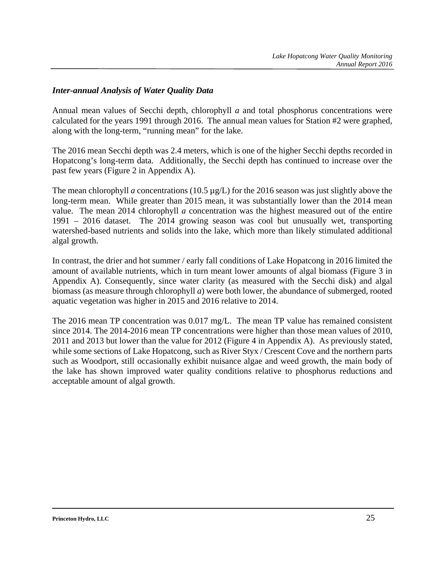#### *Inter-annual Analysis of Water Quality Data*

Annual mean values of Secchi depth, chlorophyll *a* and total phosphorus concentrations were calculated for the years 1991 through 2016. The annual mean values for Station #2 were graphed, along with the long-term, "running mean" for the lake.

The 2016 mean Secchi depth was 2.4 meters, which is one of the higher Secchi depths recorded in Hopatcong's long-term data. Additionally, the Secchi depth has continued to increase over the past few years (Figure 2 in Appendix A).

The mean chlorophyll *a* concentrations (10.5 µg/L) for the 2016 season was just slightly above the long-term mean. While greater than 2015 mean, it was substantially lower than the 2014 mean value. The mean 2014 chlorophyll *a* concentration was the highest measured out of the entire 1991 – 2016 dataset. The 2014 growing season was cool but unusually wet, transporting watershed-based nutrients and solids into the lake, which more than likely stimulated additional algal growth.

In contrast, the drier and hot summer / early fall conditions of Lake Hopatcong in 2016 limited the amount of available nutrients, which in turn meant lower amounts of algal biomass (Figure 3 in Appendix A). Consequently, since water clarity (as measured with the Secchi disk) and algal biomass (as measure through chlorophyll *a*) were both lower, the abundance of submerged, rooted aquatic vegetation was higher in 2015 and 2016 relative to 2014.

The 2016 mean TP concentration was 0.017 mg/L. The mean TP value has remained consistent since 2014. The 2014-2016 mean TP concentrations were higher than those mean values of 2010, 2011 and 2013 but lower than the value for 2012 (Figure 4 in Appendix A). As previously stated, while some sections of Lake Hopatcong, such as River Styx / Crescent Cove and the northern parts such as Woodport, still occasionally exhibit nuisance algae and weed growth, the main body of the lake has shown improved water quality conditions relative to phosphorus reductions and acceptable amount of algal growth.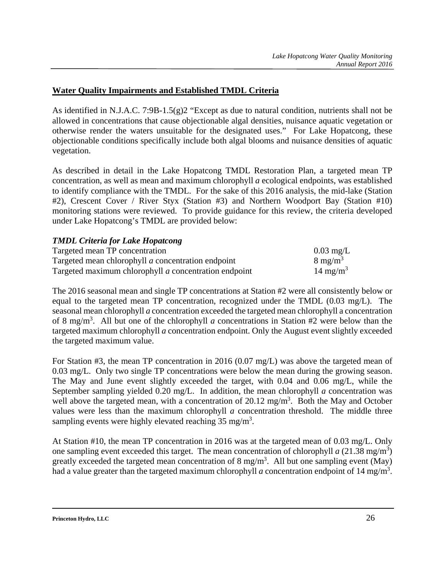#### **Water Quality Impairments and Established TMDL Criteria**

As identified in N.J.A.C. 7:9B-1.5(g)2 "Except as due to natural condition, nutrients shall not be allowed in concentrations that cause objectionable algal densities, nuisance aquatic vegetation or otherwise render the waters unsuitable for the designated uses." For Lake Hopatcong, these objectionable conditions specifically include both algal blooms and nuisance densities of aquatic vegetation.

As described in detail in the Lake Hopatcong TMDL Restoration Plan, a targeted mean TP concentration, as well as mean and maximum chlorophyll *a* ecological endpoints, was established to identify compliance with the TMDL. For the sake of this 2016 analysis, the mid-lake (Station #2), Crescent Cover / River Styx (Station #3) and Northern Woodport Bay (Station #10) monitoring stations were reviewed. To provide guidance for this review, the criteria developed under Lake Hopatcong's TMDL are provided below:

#### *TMDL Criteria for Lake Hopatcong*

| Targeted mean TP concentration                        | $0.03 \text{ mg/L}$  |
|-------------------------------------------------------|----------------------|
| Targeted mean chlorophyll a concentration endpoint    | $8 \text{ mg/m}^3$   |
| Targeted maximum chlorophyll a concentration endpoint | 14 mg/m <sup>3</sup> |

The 2016 seasonal mean and single TP concentrations at Station #2 were all consistently below or equal to the targeted mean TP concentration, recognized under the TMDL (0.03 mg/L). The seasonal mean chlorophyll *a* concentration exceeded the targeted mean chlorophyll a concentration of 8 mg/m<sup>3</sup>. All but one of the chlorophyll *a* concentrations in Station #2 were below than the targeted maximum chlorophyll *a* concentration endpoint. Only the August event slightly exceeded the targeted maximum value.

For Station #3, the mean TP concentration in 2016 (0.07 mg/L) was above the targeted mean of 0.03 mg/L. Only two single TP concentrations were below the mean during the growing season. The May and June event slightly exceeded the target, with 0.04 and 0.06 mg/L, while the September sampling yielded 0.20 mg/L. In addition, the mean chlorophyll *a* concentration was well above the targeted mean, with a concentration of 20.12 mg/m<sup>3</sup>. Both the May and October values were less than the maximum chlorophyll *a* concentration threshold. The middle three sampling events were highly elevated reaching  $35 \text{ mg/m}^3$ .

At Station #10, the mean TP concentration in 2016 was at the targeted mean of 0.03 mg/L. Only one sampling event exceeded this target. The mean concentration of chlorophyll  $a(21.38 \text{ mg/m}^3)$ greatly exceeded the targeted mean concentration of 8 mg/m<sup>3</sup>. All but one sampling event (May) had a value greater than the targeted maximum chlorophyll *a* concentration endpoint of 14 mg/m<sup>3</sup>.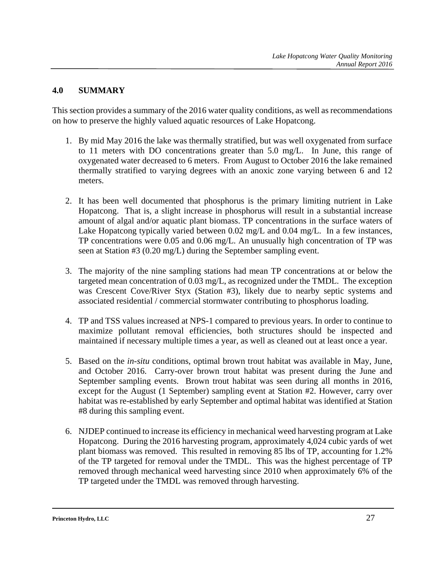#### **4.0 SUMMARY**

This section provides a summary of the 2016 water quality conditions, as well as recommendations on how to preserve the highly valued aquatic resources of Lake Hopatcong.

- 1. By mid May 2016 the lake was thermally stratified, but was well oxygenated from surface to 11 meters with DO concentrations greater than 5.0 mg/L. In June, this range of oxygenated water decreased to 6 meters. From August to October 2016 the lake remained thermally stratified to varying degrees with an anoxic zone varying between 6 and 12 meters.
- 2. It has been well documented that phosphorus is the primary limiting nutrient in Lake Hopatcong. That is, a slight increase in phosphorus will result in a substantial increase amount of algal and/or aquatic plant biomass. TP concentrations in the surface waters of Lake Hopatcong typically varied between 0.02 mg/L and 0.04 mg/L. In a few instances, TP concentrations were 0.05 and 0.06 mg/L. An unusually high concentration of TP was seen at Station #3 (0.20 mg/L) during the September sampling event.
- 3. The majority of the nine sampling stations had mean TP concentrations at or below the targeted mean concentration of 0.03 mg/L, as recognized under the TMDL. The exception was Crescent Cove/River Styx (Station #3), likely due to nearby septic systems and associated residential / commercial stormwater contributing to phosphorus loading.
- 4. TP and TSS values increased at NPS-1 compared to previous years. In order to continue to maximize pollutant removal efficiencies, both structures should be inspected and maintained if necessary multiple times a year, as well as cleaned out at least once a year.
- 5. Based on the *in-situ* conditions, optimal brown trout habitat was available in May, June, and October 2016. Carry-over brown trout habitat was present during the June and September sampling events. Brown trout habitat was seen during all months in 2016, except for the August (1 September) sampling event at Station #2. However, carry over habitat was re-established by early September and optimal habitat was identified at Station #8 during this sampling event.
- 6. NJDEP continued to increase its efficiency in mechanical weed harvesting program at Lake Hopatcong. During the 2016 harvesting program, approximately 4,024 cubic yards of wet plant biomass was removed. This resulted in removing 85 lbs of TP, accounting for 1.2% of the TP targeted for removal under the TMDL. This was the highest percentage of TP removed through mechanical weed harvesting since 2010 when approximately 6% of the TP targeted under the TMDL was removed through harvesting.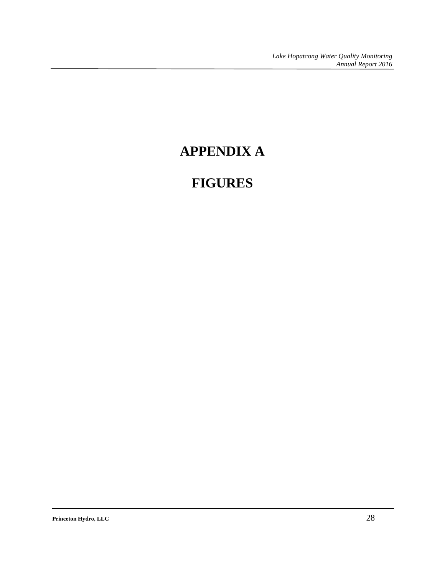# **APPENDIX A**

# **FIGURES**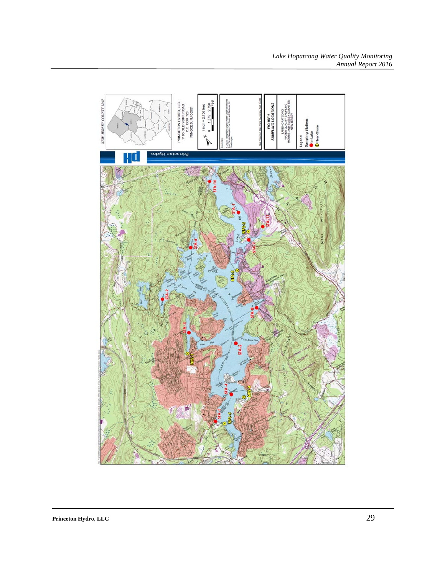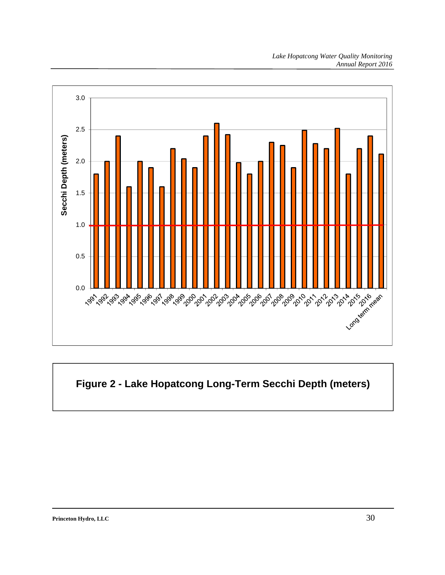

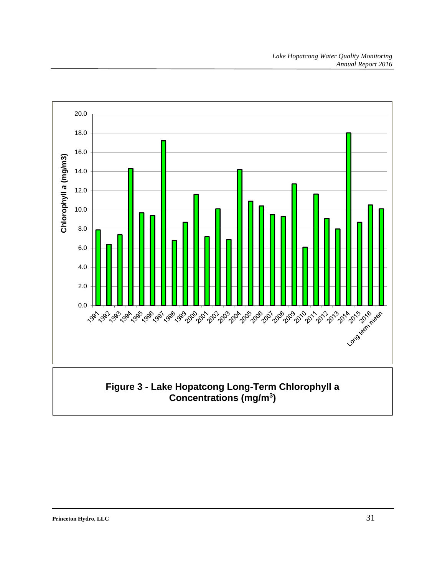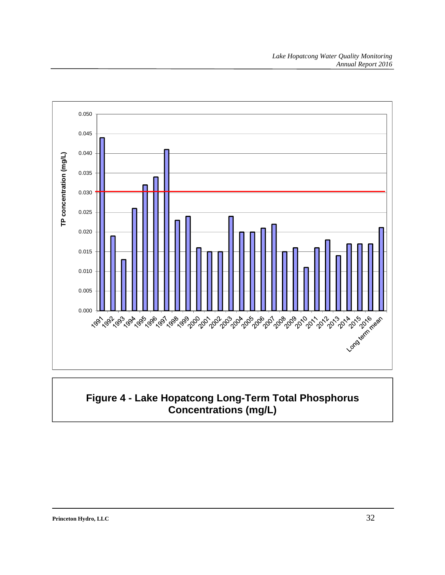

### **Figure 4 - Lake Hopatcong Long-Term Total Phosphorus Concentrations (mg/L)**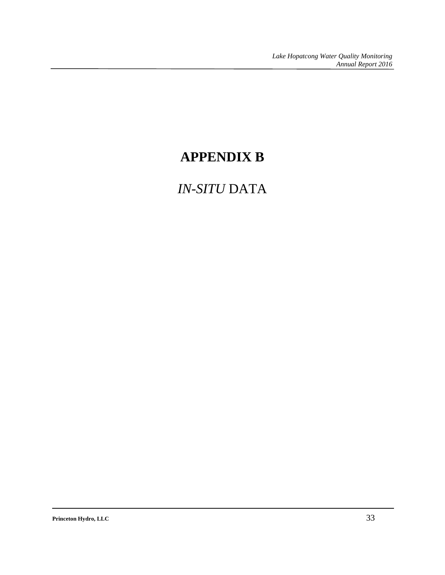## **APPENDIX B**

## *IN-SITU* DATA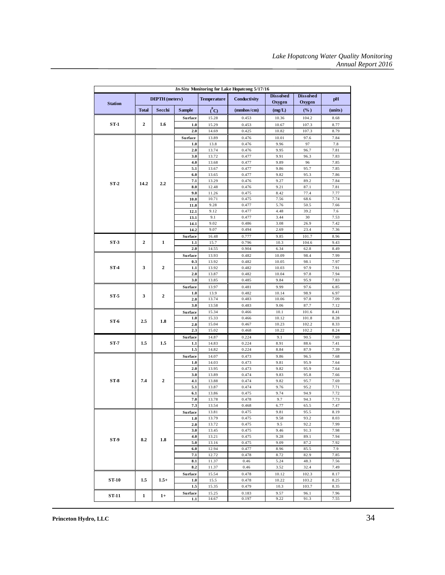| In-Situ Monitoring for Lake Hopatcong 5/17/16 |                         |                       |                           |                    |                |                            |                            |              |      |
|-----------------------------------------------|-------------------------|-----------------------|---------------------------|--------------------|----------------|----------------------------|----------------------------|--------------|------|
| <b>Station</b>                                |                         | <b>DEPTH</b> (meters) |                           | <b>Temperature</b> | Conductivity   | <b>Dissolved</b><br>Oxygen | <b>Dissolved</b><br>Oxygen | pH           |      |
|                                               | <b>Total</b>            | Secchi                | <b>Sample</b>             | $^0C$              | (mmhos/cm)     | (mg/L)                     | $(\%)$                     | (units)      |      |
|                                               |                         |                       | Surface                   | 15.28              | 0.453          | 10.36                      | 104.2                      | 8.68         |      |
| $ST-1$                                        | 2                       | 1.6                   | 1.0                       | 15.29              | 0.453          | 10.67                      | 107.3                      | 8.77         |      |
|                                               |                         |                       | 2.0                       | 14.69              | 0.425          | 10.82                      | 107.3                      | 8.79         |      |
|                                               |                         |                       | <b>Surface</b>            | 13.89              | 0.476          | 10.01                      | 97.6                       | 7.84         |      |
|                                               |                         |                       | 1.0                       | 13.8               | 0.476          | 9.96                       | 97                         | 7.8          |      |
|                                               |                         |                       | 2.0                       | 13.74              | 0.476          | 9.95                       | 96.7                       | 7.81         |      |
|                                               |                         |                       | 3.0                       | 13.72              | 0.477          | 9.91                       | 96.3                       | 7.83         |      |
|                                               |                         |                       | 4.0<br>5.1                | 13.68<br>13.67     | 0.477<br>0.477 | 9.89<br>9.86               | 96<br>95.7                 | 7.85<br>7.85 |      |
|                                               |                         |                       | 6.0                       | 13.65              | 0.477          | 9.82                       | 95.3                       | 7.86         |      |
|                                               |                         |                       | 7.1                       | 13.29              | 0.476          | 9.27                       | 89.2                       | 7.84         |      |
| $ST-2$                                        | 14.2                    | 2.2                   | 8.0                       | 12.48              | 0.476          | 9.21                       | 87.1                       | 7.81         |      |
|                                               |                         |                       | 9.0                       | 11.26              | 0.475          | 8.42                       | 77.4                       | 7.77         |      |
|                                               |                         |                       | 10.0                      | 10.71              | 0.475          | 7.56                       | 68.6                       | 7.74         |      |
|                                               |                         |                       | 11.0                      | 9.28               | 0.477          | 5.76                       | 50.5                       | 7.66         |      |
|                                               |                         |                       | 12.1                      | 9.12               | 0.477          | 4.48                       | 39.2                       | 7.6          |      |
|                                               |                         |                       | 13.1                      | 9.1                | 0.477          | 3.44                       | 30                         | 7.53         |      |
|                                               |                         |                       | 14.1<br>14.2              | 9.02<br>9.07       | 0.486<br>0.494 | 3.08<br>2.69               | 26.9<br>23.4               | 7.42<br>7.36 |      |
|                                               |                         |                       | Surface                   | 16.48              | 0.777          | 9.85                       | 101.7                      | 8.96         |      |
| $ST-3$                                        | $\overline{\mathbf{2}}$ | $\mathbf{1}$          | 1.1                       | 15.7               | 0.796          | 10.3                       | 104.6                      | 9.43         |      |
|                                               |                         |                       | 2.0                       | 14.55              | 0.904          | 6.34                       | 62.8                       | 8.49         |      |
|                                               |                         |                       | Surface                   | 13.93              | 0.482          | 10.09                      | 98.4                       | 7.99         |      |
|                                               |                         |                       | 0.3                       | 13.92              | 0.482          | 10.05                      | 98.1                       | 7.97         |      |
| $ST-4$                                        | 3                       | $\boldsymbol{2}$      | 1.1                       | 13.92              | 0.482          | 10.03                      | 97.9                       | 7.91         |      |
|                                               |                         |                       | 2.0                       | 13.87              | 0.482          | 10.04                      | 97.8                       | 7.94         |      |
|                                               |                         |                       | 3.0                       | 13.85              | 0.485          | 9.84                       | 95.9                       | 7.83         |      |
|                                               | 3                       | $\boldsymbol{2}$      | <b>Surface</b>            | 13.97              | 0.481          | 9.99                       | 97.6                       | 6.85         |      |
| $ST-5$                                        |                         |                       | 1.0                       | 13.9               | 0.482          | 10.14                      | 98.9                       | 6.97         |      |
|                                               |                         |                       | 2.0<br>3.0                | 13.74<br>13.58     | 0.483<br>0.483 | 10.06<br>9.06              | 97.8<br>87.7               | 7.09<br>7.12 |      |
|                                               |                         |                       | Surface                   | 15.34              | 0.466          | 10.1                       | 101.6                      | 8.41         |      |
|                                               |                         |                       |                           | 1.0                | 15.33          | 0.466                      | 10.12                      | 101.8        | 8.28 |
| ST-6                                          | 2.5                     | 1.8                   | 2.0                       | 15.04              | 0.467          | 10.23                      | 102.2                      | 8.33         |      |
|                                               |                         |                       | 2.3                       | 15.02              | 0.468          | 10.22                      | 102.2                      | 8.24         |      |
|                                               |                         |                       | Surface                   | 14.87              | 0.224          | 9.1                        | 90.5                       | 7.69         |      |
| $ST-7$                                        | 1.5                     | 1.5                   | 1.1                       | 14.83              | 0.224          | 8.91                       | 88.6                       | 7.41         |      |
|                                               |                         |                       | 1.5                       | 14.82              | 0.224          | 8.84                       | 87.9                       | 7.39         |      |
|                                               |                         | $\overline{2}$        | Surface                   | 14.07              | 0.473          | 9.86                       | 96.5                       | 7.68         |      |
|                                               |                         |                       | 1.0                       | 14.03              | 0.473          | 9.81                       | 95.9                       | 7.64         |      |
|                                               |                         |                       | 2.0                       | 13.95              | 0.473          | 9.82                       | 95.9                       | 7.64         |      |
| $ST-8$                                        | 7.4                     |                       | 3.0<br>4.1                | 13.89<br>13.88     | 0.474<br>0.474 | 9.83<br>9.82               | 95.8<br>95.7               | 7.66<br>7.69 |      |
|                                               |                         |                       | 5.1                       | 13.87              | 0.474          | 9.76                       | 95.2                       | 7.71         |      |
|                                               |                         |                       | 6.1                       | 13.86              | 0.475          | 9.74                       | 94.9                       | 7.72         |      |
|                                               |                         |                       | 7.0                       | 13.78              | 0.478          | 9.7                        | 94.3                       | 7.73         |      |
|                                               |                         |                       | 7.3                       | 13.54              | 0.468          | 6.77                       | 65.5                       | 7.47         |      |
|                                               |                         |                       | <b>Surface</b>            | 13.81              | 0.475          | 9.81                       | 95.5                       | 8.19         |      |
|                                               |                         |                       | 1.0                       | 13.79              | 0.475          | 9.58                       | 93.2                       | 8.03         |      |
|                                               |                         |                       | 2.0<br>3.0                | 13.72<br>13.45     | 0.475<br>0.475 | 9.5<br>9.46                | 92.2<br>91.3               | 7.99<br>7.98 |      |
|                                               |                         |                       | 4.0                       | 13.21              | 0.475          | 9.28                       | 89.1                       | 7.94         |      |
| ST-9                                          | 8.2                     | 1.8                   | 5.0                       | 13.16              | 0.475          | 9.09                       | 87.2                       | 7.92         |      |
|                                               |                         |                       | 6.0                       | 12.94              | 0.477          | 8.96                       | 85.5                       | 7.9          |      |
|                                               |                         |                       | 7.1                       | 12.72              | 0.478          | 8.72                       | 82.9                       | 7.85         |      |
|                                               |                         |                       | 8.1                       | 11.37              | 0.46           | 5.24                       | 48.3                       | 7.56         |      |
|                                               |                         |                       | 8.2                       | 11.37              | 0.46           | 3.52                       | 32.4                       | 7.49         |      |
|                                               |                         |                       | Surface                   | 15.54              | 0.478          | 10.12                      | 102.3                      | 8.17         |      |
| <b>ST-10</b>                                  | 1.5                     | $1.5+$                | 1.0                       | 15.5               | 0.478          | 10.22                      | 103.2                      | 8.25         |      |
|                                               |                         |                       | 1.5                       | 15.35              | 0.479          | 10.3                       | 103.7                      | 8.35         |      |
| ST-11                                         | 1                       | $1+$                  | <b>Surface</b><br>$1.1\,$ | 15.25<br>14.67     | 0.183<br>0.197 | 9.57<br>9.22               | 96.1<br>91.3               | 7.96<br>7.55 |      |
|                                               |                         |                       |                           |                    |                |                            |                            |              |      |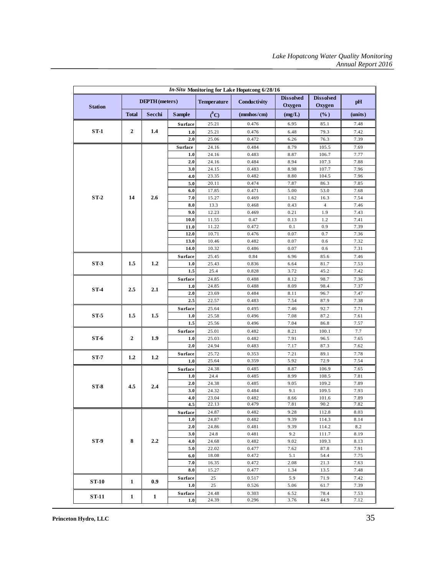| <i>In-Situ</i> Monitoring for Lake Hopatcong 6/28/16 |                       |        |                |                    |                |                            |                            |              |  |
|------------------------------------------------------|-----------------------|--------|----------------|--------------------|----------------|----------------------------|----------------------------|--------------|--|
| <b>Station</b>                                       | <b>DEPTH</b> (meters) |        |                | <b>Temperature</b> | Conductivity   | <b>Dissolved</b><br>Oxygen | <b>Dissolved</b><br>Oxygen | pH           |  |
|                                                      | <b>Total</b>          | Secchi | <b>Sample</b>  | $(^0C)$            | (mmbos/cm)     | (mg/L)                     | (%)                        | (units)      |  |
|                                                      |                       |        | Surface        | 25.21              | 0.476          | 6.95                       | 85.1                       | 7.48         |  |
| $ST-1$                                               | 2                     | 1.4    | 1.0            | 25.21              | 0.476          | 6.48                       | 79.3                       | 7.42         |  |
|                                                      |                       |        | 2.0            | 25.06              | 0.472          | 6.26                       | 76.3                       | 7.39         |  |
|                                                      |                       |        | <b>Surface</b> | 24.16              | 0.484          | 8.79                       | 105.5                      | 7.69         |  |
|                                                      |                       |        | 1.0            | 24.16              | 0.483          | 8.87                       | 106.7                      | 7.77         |  |
|                                                      |                       |        | 2.0            | 24.16              | 0.484          | 8.94                       | 107.3                      | 7.88         |  |
|                                                      |                       |        | 3.0            | 24.15              | 0.483          | 8.98                       | 107.7                      | 7.96         |  |
|                                                      |                       |        | 4.0            | 23.35              | 0.482          | 8.80                       | 104.5                      | 7.96         |  |
|                                                      |                       |        | 5.0            | 20.11              | 0.474          | 7.87                       | 86.3                       | 7.85         |  |
|                                                      |                       |        | 6.0            | 17.85              | 0.471          | 5.00                       | 53.0                       | 7.68         |  |
| $ST-2$                                               | 14                    | 2.6    | 7.0            | 15.27              | 0.469          | 1.62                       | 16.3                       | 7.54         |  |
|                                                      |                       |        | 8.0            | 13.3               | 0.468          | 0.43                       | $\overline{4}$             | 7.46         |  |
|                                                      |                       |        | 9.0            | 12.23              | 0.469          | 0.21                       | 1.9                        | 7.43         |  |
|                                                      |                       |        | 10.0           | 11.55              | 0.47           | 0.13                       | 1.2                        | 7.41         |  |
|                                                      |                       |        | 11.0           | 11.22              | 0.472          | 0.1                        | 0.9                        | 7.39         |  |
|                                                      |                       |        | 12.0           | 10.71              | 0.476          | 0.07                       | 0.7                        | 7.36         |  |
|                                                      |                       |        | 13.0           | 10.46              | 0.482          | 0.07                       | 0.6                        | 7.32         |  |
|                                                      |                       |        | 14.0           | 10.32              | 0.486          | 0.07                       | 0.6                        | 7.31         |  |
|                                                      |                       |        | Surface        | 25.45              | 0.84           | 6.96                       | 85.6                       | 7.46         |  |
| $ST-3$                                               | 1.5                   | 1.2    | 1.0            | 25.43              | 0.836          | 6.64                       | 81.7                       | 7.53         |  |
|                                                      |                       |        | 1.5            | 25.4               | 0.828          | 3.72                       | 45.2                       | 7.42         |  |
|                                                      |                       | 2.1    | Surface        | 24.85              | 0.488          | 8.12                       | 98.7                       | 7.36         |  |
| $ST-4$                                               | 2.5                   |        | 1.0            | 24.85              | 0.488          | 8.09                       | 98.4                       | 7.37         |  |
|                                                      |                       |        | 2.0            | 23.69              | 0.484          | 8.11                       | 96.7                       | 7.47         |  |
|                                                      |                       |        | 2.5            | 22.57              | 0.483          | 7.54                       | 87.9                       | 7.38         |  |
|                                                      |                       |        | <b>Surface</b> | 25.64              | 0.495          | 7.46                       | 92.7                       | 7.71         |  |
| $ST-5$                                               | 1.5                   | 1.5    | 1.0            | 25.58              | 0.496          | 7.08                       | 87.2                       | 7.61         |  |
|                                                      |                       |        | 1.5            | 25.56              | 0.496          | 7.04                       | 86.8                       | 7.57         |  |
|                                                      |                       |        | <b>Surface</b> | 25.01              | 0.482          | 8.21                       | 100.1                      | 7.7          |  |
| <b>ST-6</b>                                          | 2                     | 1.9    | 1.0            | 25.03              | 0.482          | 7.91                       | 96.5                       | 7.65         |  |
|                                                      |                       |        | 2.0            | 24.94              | 0.483          | 7.17                       | 87.3                       | 7.62         |  |
| $ST-7$                                               | 1.2                   | 1.2    | <b>Surface</b> | 25.72              | 0.353          | 7.21                       | 89.1                       | 7.78         |  |
|                                                      |                       |        | 1.0            | 25.64              | 0.359          | 5.92                       | 72.9                       | 7.54         |  |
|                                                      |                       |        | <b>Surface</b> | 24.38              | 0.485          | 8.87                       | 106.9                      | 7.65         |  |
|                                                      |                       |        | 1.0            | 24.4<br>24.38      | 0.485<br>0.485 | 8.99<br>9.05               | 108.5<br>109.2             | 7.81<br>7.89 |  |
| $ST-8$                                               | 4.5                   | 2.4    | 2.0<br>3.0     | 24.32              | 0.484          | 9.1                        | 109.5                      | 7.93         |  |
|                                                      |                       |        | 4.0            | 23.04              | 0.482          | 8.66                       | 101.6                      | 7.89         |  |
|                                                      |                       |        | 4.5            | 22.13              | 0.479          | 7.81                       | 90.2                       | 7.82         |  |
|                                                      |                       |        | Surface        | 24.87              | 0.482          | 9.28                       | 112.8                      | 8.03         |  |
|                                                      |                       |        | 1.0            | 24.87              | 0.482          | 9.39                       | 114.3                      | 8.14         |  |
|                                                      |                       |        | 2.0            | 24.86              | 0.481          | 9.39                       | 114.2                      | 8.2          |  |
|                                                      |                       |        | 3.0            | 24.8               | 0.481          | 9.2                        | 111.7                      | 8.19         |  |
| <b>ST-9</b>                                          | 8                     | 2.2    | 4.0            | 24.68              | 0.482          | 9.02                       | 109.3                      | 8.13         |  |
|                                                      |                       |        | 5.0            | 22.02              | 0.477          | 7.62                       | 87.8                       | 7.91         |  |
|                                                      |                       |        | 6.0            | 18.08              | 0.472          | 5.1                        | 54.4                       | 7.75         |  |
|                                                      |                       |        | 7.0            | 16.35              | 0.472          | 2.08                       | 21.3                       | 7.63         |  |
|                                                      |                       |        | 8.0            | 15.27              | 0.477          | 1.34                       | 13.5                       | 7.48         |  |
| <b>ST-10</b>                                         | 1                     | 0.9    | <b>Surface</b> | 25                 | 0.517          | 5.9                        | 71.9                       | 7.42         |  |
|                                                      |                       |        | 1.0            | 25                 | 0.526          | 5.06                       | 61.7                       | 7.39         |  |
| <b>ST-11</b>                                         | $\mathbf{1}$          | 1      | <b>Surface</b> | 24.48              | 0.303          | 6.52                       | 78.4                       | 7.53         |  |
|                                                      |                       |        | 1.0            | 24.39              | 0.296          | 3.76                       | 44.9                       | 7.12         |  |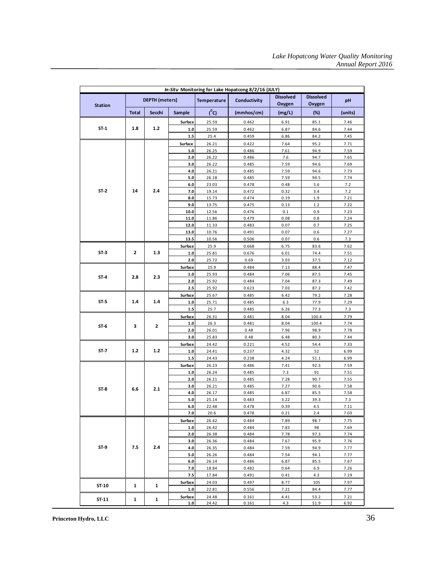|                |              | <b>DEPTH</b> (meters) |               | Temperature    | In-Situ Monitoring for Lake Hopatcong 8/2/16 (JULY)<br>Conductivity | <b>Dissolved</b><br>Oxygen | <b>Dissolved</b><br>Oxygen | pH           |
|----------------|--------------|-----------------------|---------------|----------------|---------------------------------------------------------------------|----------------------------|----------------------------|--------------|
| <b>Station</b> | <b>Total</b> | Secchi                | <b>Sample</b> | $(^0C)$        | (mmhos/cm)                                                          | (mg/L)                     | (%)                        | (units)      |
|                |              |                       |               |                |                                                                     |                            |                            |              |
|                | 1.8          | 1.2                   | Surface       | 25.59          | 0.462                                                               | 6.91                       | 85.1                       | 7.46         |
| ST-1           |              |                       | $1.0$         | 25.59          | 0.462                                                               | 6.87                       | 84.6                       | 7.44         |
|                |              |                       | $1.5\,$       | 25.4           | 0.459                                                               | 6.86                       | 84.2                       | 7.45         |
|                |              |                       | Surface       | 26.21          | 0.422                                                               | 7.64                       | 95.2                       | 7.71         |
|                |              |                       | $1.0$         | 26.25          | 0.486                                                               | 7.61                       | 94.9<br>94.7               | 7.59         |
|                |              |                       | 2.0<br>3.0    | 26.22<br>26.22 | 0.486<br>0.485                                                      | 7.6<br>7.59                | 94.6                       | 7.65<br>7.69 |
|                |              |                       | $4.0\,$       | 26.21          | 0.485                                                               | 7.59                       | 94.6                       | 7.73         |
|                |              |                       | 5.0           | 26.18          | 0.485                                                               | 7.59                       | 94.5                       | 7.74         |
|                |              |                       | $6.0\,$       | 23.03          | 0.478                                                               | 0.48                       | 5.6                        | 7.2          |
| ST-2           | 14           | 2.4                   | 7.0           | 19.14          | 0.472                                                               | 0.32                       | 3.4                        | 7.2          |
|                |              |                       | 8.0           | 15.73          | 0.474                                                               | 0.19                       | 1.9                        | 7.21         |
|                |              |                       | 9.0           | 13.75          | 0.475                                                               | 0.13                       | $1.2$                      | 7.22         |
|                |              |                       | 10.0          | 12.56          | 0.476                                                               | 0.1                        | 0.9                        | 7.23         |
|                |              |                       | 11.0          | 11.86          | 0.479                                                               | 0.08                       | 0.8                        | 7.24         |
|                |              |                       | 12.0          | 11.33          | 0.483                                                               | 0.07                       | 0.7                        | 7.25         |
|                |              |                       | 13.0          | 10.76          | 0.491                                                               | 0.07                       | 0.6                        | 7.27         |
|                |              |                       | 13.5          | 10.56          | 0.506                                                               | 0.07                       | 0.6                        | 7.3          |
|                |              |                       | Surface       | 25.9           | 0.668                                                               | 6.75                       | 83.6                       | 7.62         |
| ST-3           | 2            | 1.3                   | $1.0$         | 25.81          | 0.676                                                               | 6.01                       | 74.4                       | 7.51         |
|                |              |                       | 2.0           | 25.72          | 0.69                                                                | 3.03                       | 37.5                       | 7.12         |
|                |              |                       | Surface       | 25.9           | 0.484                                                               | 7.13                       | 88.4                       | 7.47         |
| ST-4           | 2.8          | 2.3                   | $1.0$         | 25.93          | 0.484                                                               | 7.06                       | 87.5                       | 7.45         |
|                |              |                       | 2.0           | 25.92          | 0.484                                                               | 7.04                       | 87.3                       | 7.49         |
|                |              |                       | 2.5           | 25.92          | 0.623                                                               | 7.03                       | 87.2                       | 7.42         |
|                |              |                       | Surface       | 25.67          | 0.485                                                               | 6.42                       | 79.2                       | 7.28         |
| ST-5           | 1.4          | 1.4                   | 1.0           | 25.71          | 0.485                                                               | 6.3                        | 77.9                       | 7.29         |
|                |              |                       | $1.5$         | 25.7           | 0.485                                                               | 6.26                       | 77.3                       | 7.3          |
|                |              | $\mathbf{2}$          | Surface       | 26.31          | 0.481                                                               | 8.04                       | 100.4                      | 7.79         |
| ST-6           | 3            |                       | $1.0$         | 26.3           | 0.481                                                               | 8.04                       | 100.4                      | 7.74         |
|                |              |                       | 2.0           | 26.01          | 0.48                                                                | 7.96                       | 98.9                       | 7.78         |
|                |              |                       | 3.0           | 25.83          | 0.48                                                                | 6.48                       | 80.3                       | 7.44         |
|                |              | 1.2<br>1.2            | Surface       | 24.42          | 0.221                                                               | 4.52                       | 54.4                       | 7.33         |
| ST-7           |              |                       | $1.0\,$       | 24.41          | 0.237                                                               | 4.32                       | 52                         | 6.99         |
|                |              |                       | 1.5           | 24.43          | 0.238                                                               | 4.24                       | 51.1                       | 6.99         |
|                |              |                       | Surface       | 26.23          | 0.486                                                               | 7.41                       | 92.3                       | 7.59         |
|                |              |                       | $1.0\,$       | 26.24<br>26.21 | 0.485                                                               | 7.3                        | 91                         | 7.51         |
|                |              |                       | 2.0<br>3.0    | 26.21          | 0.485<br>0.485                                                      | 7.28<br>7.27               | 90.7<br>90.6               | 7.55<br>7.58 |
| ST-8           | 6.6          | 2.1                   | 4.0           | 26.17          | 0.485                                                               | 6.87                       | 85.5                       | 7.58         |
|                |              |                       | 5.0           | 25.14          | 0.483                                                               | 3.22                       | 39.3                       | 7.3          |
|                |              |                       | 6.0           | 22.48          | 0.478                                                               | 0.39                       | 4.5                        | 7.11         |
|                |              |                       | 7.0           | 20.6           | 0.478                                                               | 0.21                       | 2.4                        | 7.03         |
|                |              |                       | Surface       | 26.42          | 0.484                                                               | 7.89                       | 98.7                       | 7.75         |
|                |              |                       | $1.0$         | 26.42          | 0.484                                                               | 7.83                       | 98                         | 7.69         |
|                |              |                       | 2.0           | 26.38          | 0.484                                                               | 7.78                       | 97.3                       | 7.74         |
|                |              |                       | 3.0           | 26.36          | 0.484                                                               | 7.67                       | 95.9                       | 7.76         |
| ST-9           | 7.5          | 2.4                   | $4.0\,$       | 26.35          | 0.484                                                               | 7.59                       | 94.9                       | 7.77         |
|                |              |                       | 5.0           | 26.26          | 0.484                                                               | 7.54                       | 94.1                       | 7.77         |
|                |              |                       | 6.0           | 26.14          | 0.486                                                               | 6.87                       | 85.5                       | 7.67         |
|                |              |                       | 7.0           | 18.84          | 0.482                                                               | 0.64                       | 6.9                        | 7.26         |
|                |              |                       | 7.5           | 17.84          | 0.491                                                               | 0.41                       | 4.3                        | 7.19         |
| ST-10          | 1            | 1                     | Surface       | 24.03          | 0.497                                                               | 8.77                       | 105                        | 7.97         |
|                |              |                       | 1.0           | 22.81          | 0.556                                                               | 7.21                       | 84.4                       | 7.77         |
| $ST-11$        | 1            | 1                     | Surface       | 24.48          | 0.161                                                               | 4.41                       | 53.2                       | 7.21         |
|                |              |                       | $1.0$         | 24.42          | 0.161                                                               | 4.3                        | 51.9                       | 6.92         |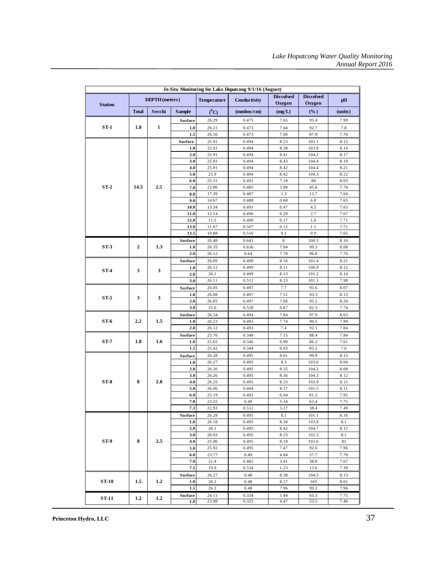|                |                | <b>DEPTH</b> (meters) |                | <b>Temperature</b> | In-Situ Monitoring for Lake Hopatcong 9/1/16 (August)<br>Conductivity | <b>Dissolved</b> | <b>Dissolved</b> | pH           |
|----------------|----------------|-----------------------|----------------|--------------------|-----------------------------------------------------------------------|------------------|------------------|--------------|
| <b>Station</b> |                |                       |                |                    |                                                                       | Oxygen           | Oxvgen           |              |
|                | <b>Total</b>   | Secchi                | <b>Sample</b>  | $(^0C)$            | (mmbos/cm)                                                            | (mg/L)           | $(\%)$           | (units)      |
|                |                |                       | <b>Surface</b> | 26.29              | 0.475                                                                 | 7.65             | 95.4             | 7.99         |
| <b>ST-1</b>    | 1.8            | 1                     | 1.0            | 26.21              | 0.473                                                                 | 7.44             | 92.7             | 7.8          |
|                |                |                       | 1.5            | 26.16              | 0.473                                                                 | 7.06             | 87.9             | 7.76         |
|                |                |                       | Surface        | 25.91              | 0.494                                                                 | 8.23             | 102.1            | 8.15         |
|                |                |                       | 1.0            | 25.91              | 0.494                                                                 | 8.38             | 103.8            | 8.14         |
|                |                |                       | 2.0            | 25.91              | 0.494                                                                 | 8.41             | 104.2            | 8.17         |
|                |                |                       | 3.0            | 25.91              | 0.494                                                                 | 8.43             | 104.4            | 8.19         |
|                |                |                       | 4.0            | 25.91              | 0.494                                                                 | 8.42             | 104.4            | 8.21         |
|                |                |                       | 5.0            | 25.9               | 0.494                                                                 | 8.42             | 104.3            | 8.22         |
|                |                |                       | 6.0            | 25.31              | 0.492                                                                 | 7.18             | 88               | 8.03         |
| $ST-2$         | 14.5           | 2.5                   | 7.0            | 22.86              | 0.485                                                                 | 3.89             | 45.6             | 7.74         |
|                |                |                       | 8.0            | 17.39              | 0.487                                                                 | 1.3              | 13.7             | 7.64         |
|                |                |                       | 9.0            | 14.67              | 0.488                                                                 | 0.68             | 6.8              | 7.65         |
|                |                |                       | 10.0           | 13.34              | 0.491                                                                 | 0.47<br>0.29     | 4.5              | 7.65         |
|                |                |                       | 11.0           | 12.14              | 0.496                                                                 |                  | 2.7              | 7.67         |
|                |                |                       | 12.0<br>13.0   | 11.5<br>11.07      | 0.499<br>0.507                                                        | 0.17<br>0.12     | 1.6<br>1.1       | 7.71<br>7.71 |
|                |                |                       | 13.5           | 10.88              | 0.516                                                                 | 0.1              | 0.9              | 7.65         |
|                |                |                       |                |                    |                                                                       |                  |                  |              |
| $ST-3$         | $\overline{2}$ | 1.3                   | <b>Surface</b> | 26.48              | 0.641                                                                 | 8<br>7.94        | 100.3<br>99.3    | 8.16<br>8.08 |
|                |                |                       | 1.0<br>2.0     | 26.35<br>26.12     | 0.636<br>0.64                                                         | 7.78             | 96.8             | 7.76         |
|                |                |                       |                |                    |                                                                       |                  |                  |              |
|                |                |                       | <b>Surface</b> | 26.09              | 0.499<br>0.499                                                        | 8.16             | 101.4            | 8.21         |
| $ST-4$         | 3              | 3                     | 1.0<br>2.0     | 26.12              | 0.499                                                                 | 8.11             | 100.9<br>101.2   | 8.12         |
|                |                |                       | 3.0            | 26.1               |                                                                       | 8.13             |                  | 8.14         |
|                |                |                       |                | 26.11              | 0.512                                                                 | 8.13             | 101.1            | 7.98         |
|                | 3              | 3                     | Surface        | 26.05              | 0.497                                                                 | 7.7              | 95.6             | 8.07         |
| $ST-5$         |                |                       | 1.0            | 26.08              | 0.497                                                                 | 7.51             | 93.3             | 8.13         |
|                |                |                       | 2.0<br>3.0     | 26.05<br>25.6      | 0.497<br>0.528                                                        | 7.66<br>6.67     | 95.2<br>82.3     | 8.24<br>7.74 |
|                |                |                       |                |                    |                                                                       |                  |                  |              |
| <b>ST-6</b>    | 2.2            |                       | <b>Surface</b> | 26.34              | 0.494<br>0.493                                                        | 7.84             | 97.9             | 8.03         |
|                |                | 1.5                   | 1.0<br>2.0     | 26.23<br>26.12     | 0.493                                                                 | 7.74             | 96.5<br>92.1     | 7.89<br>7.84 |
|                |                |                       |                |                    |                                                                       | 7.4              |                  |              |
|                | 1.8            | 1.6                   | Surface        | 25.76              | 0.348                                                                 | 7.15             | 88.4             | 7.84         |
| ST-7           |                |                       | 1.0<br>1.5     | 25.65<br>25.42     | 0.346<br>0.344                                                        | 6.99<br>6.93     | 86.2<br>85.2     | 7.61<br>7.6  |
|                |                |                       |                |                    |                                                                       |                  |                  |              |
|                | 8              |                       | <b>Surface</b> | 26.28              | 0.495                                                                 | 8.01             | 99.9             | 8.15         |
|                |                |                       | 1.0<br>2.0     | 26.27<br>26.26     | 0.495<br>0.495                                                        | 8.3<br>8.35      | 103.6<br>104.2   | 8.04<br>8.08 |
|                |                |                       | 3.0            | 26.26              | 0.495                                                                 | 8.36             | 104.3            | 8.12         |
| $ST-8$         |                | 2.8                   | 4.0            | 26.25              | 0.495                                                                 | 8.33             | 103.9            | 8.15         |
|                |                |                       | 5.0            | 26.06              | 0.494                                                                 | 8.17             | 101.5            | 8.11         |
|                |                |                       | 6.0            | 25.19              | 0.492                                                                 | 6.64             | 81.2             | 7.95         |
|                |                |                       | 7.0            | 23.55              | 0.49                                                                  | 5.34             | 63.4             | 7.75         |
|                |                |                       | 7.3            | 22.93              | 0.512                                                                 | 3.27             | 38.4             | 7.49         |
|                |                |                       | Surface        | 26.28              | 0.495                                                                 | 8.1              | 101.1            | 8.16         |
|                |                |                       | 1.0            | 26.18              | 0.495                                                                 | 8.34             | 103.9            | 8.1          |
|                |                |                       | 2.0            | 26.1               | 0.495                                                                 | 8.42             | 104.7            | 8.12         |
|                |                |                       | 3.0            | 26.03              | 0.495                                                                 | 8.23             | 102.2            | 8.1          |
| <b>ST-9</b>    | 8              | 2.5                   | 4.0            | 25.96              | 0.495                                                                 | 8.18             | 101.6            | 81           |
|                |                |                       | 5.0            | 25.92              | 0.495                                                                 | 7.47             | 92.6             | 7.96         |
|                |                |                       | 6.0            | 23.77              | 0.49                                                                  | 4.84             | 57.7             | 7.79         |
|                |                |                       | 7.0            | 21.4               | 0.482                                                                 | 3.41             | 38.8             | 7.67         |
|                |                |                       | 7.5            | 19.9               | 0.534                                                                 | 1.23             | 13.6             | 7.39         |
|                |                |                       | <b>Surface</b> | 26.27              | 0.48                                                                  | 8.38             | 104.5            | 8.13         |
| <b>ST-10</b>   | 1.5            | 1.2                   | 1.0            | 26.2               | 0.48                                                                  | 8.27             | 103              | 8.01         |
|                |                |                       | 1.5            | 26.2               | 0.48                                                                  | 7.96             | 99.2             | 7.96         |
|                |                |                       | <b>Surface</b> | 24.11              | 0.334                                                                 | 5.44             | 65.3             | 7.75         |
| <b>ST-11</b>   | 1.2            | 1.2                   | $1.0$          | 23.98              | 0.325                                                                 | 4.47             | 53.5             | 7.46         |
|                |                |                       |                |                    |                                                                       |                  |                  |              |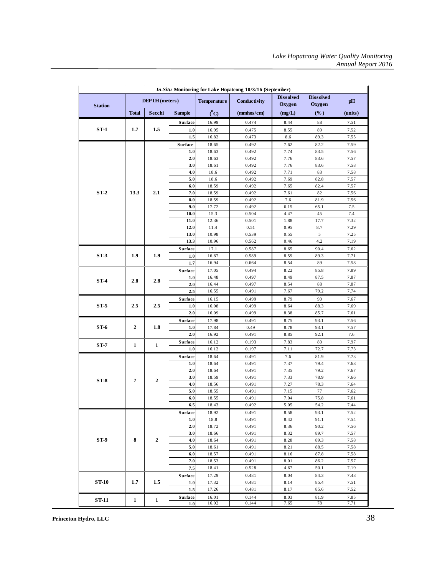| In-Situ Monitoring for Lake Hopatcong 10/3/16 (September) |              |                       |                |                    |                |                            |                            |              |
|-----------------------------------------------------------|--------------|-----------------------|----------------|--------------------|----------------|----------------------------|----------------------------|--------------|
|                                                           |              | <b>DEPTH</b> (meters) |                | <b>Temperature</b> | Conductivity   | <b>Dissolved</b><br>Oxygen | <b>Dissolved</b><br>Oxygen | pH           |
| <b>Station</b>                                            | <b>Total</b> | Secchi                | <b>Sample</b>  | $(^0C)$            | (mmhos/cm)     | (mg/L)                     | $(\%)$                     | (units)      |
|                                                           |              |                       | Surface        | 16.99              | 0.474          | 8.44                       | 88                         | 7.51         |
| $ST-1$                                                    | 1.7          | 1.5                   | 1.0            | 16.95              | 0.475          | 8.55                       | 89                         | 7.52         |
|                                                           |              |                       | 1.5            | 16.82              | 0.473          | 8.6                        | 89.3                       | 7.55         |
|                                                           |              |                       | Surface        | 18.65              | 0.492          | 7.62                       | 82.2                       | 7.59         |
|                                                           |              |                       | 1.0            | 18.63              | 0.492          | 7.74                       | 83.5                       | 7.56         |
|                                                           |              |                       | 2.0            | 18.63              | 0.492          | 7.76                       | 83.6                       | 7.57         |
|                                                           |              |                       | 3.0            | 18.61              | 0.492          | 7.76                       | 83.6                       | 7.58         |
|                                                           |              |                       | 4.0            | 18.6               | 0.492          | 7.71                       | 83                         | 7.58         |
|                                                           |              |                       | 5.0            | 18.6               | 0.492          | 7.69                       | 82.8                       | 7.57         |
|                                                           |              |                       | 6.0            | 18.59              | 0.492          | 7.65                       | 82.4                       | 7.57         |
| $ST-2$                                                    | 13.3         | 2.1                   | 7.0            | 18.59              | 0.492          | 7.61                       | 82                         | 7.56         |
|                                                           |              |                       | 8.0            | 18.59              | 0.492          | 7.6                        | 81.9                       | 7.56         |
|                                                           |              |                       | 9.0            | 17.72              | 0.492          | 6.15                       | 65.1                       | 7.5          |
|                                                           |              |                       | 10.0           | 15.3<br>12.36      | 0.504<br>0.501 | 4.47                       | 45<br>17.7                 | 7.4<br>7.32  |
|                                                           |              |                       | 11.0<br>12.0   | 11.4               | 0.51           | 1.88<br>0.95               | 8.7                        | 7.29         |
|                                                           |              |                       | 13.0           | 10.98              | 0.539          | 0.55                       | 5                          | 7.25         |
|                                                           |              |                       | 13.3           | 10.96              | 0.562          | 0.46                       | 4.2                        | 7.19         |
|                                                           |              |                       | Surface        | 17.1               | 0.587          | 8.65                       | 90.4                       | 7.62         |
| $ST-3$                                                    | 1.9          | 1.9                   | 1.0            | 16.87              | 0.589          | 8.59                       | 89.3                       | 7.71         |
|                                                           |              |                       | 1.7            | 16.94              | 0.664          | 8.54                       | 89                         | 7.58         |
|                                                           |              |                       | Surface        | 17.05              | 0.494          | 8.22                       | 85.8                       | 7.89         |
|                                                           |              | 2.8                   | 1.0            | 16.48              | 0.497          | 8.49                       | 87.5                       | 7.87         |
| $ST-4$                                                    | 2.8          |                       | 2.0            | 16.44              | 0.497          | 8.54                       | 88                         | 7.87         |
|                                                           |              |                       | 2.5            | 16.55              | 0.491          | 7.67                       | 79.2                       | 7.74         |
|                                                           |              |                       | Surface        | 16.15              | 0.499          | 8.79                       | 90                         | 7.67         |
| $ST-5$                                                    | 2.5          | 2.5                   | 1.0            | 16.08              | 0.499          | 8.64                       | 88.3                       | 7.69         |
|                                                           |              |                       | 2.0            | 16.09              | 0.499          | 8.38                       | 85.7                       | 7.61         |
|                                                           |              |                       | Surface        | 17.98              | 0.491          | 8.75                       | 93.1                       | 7.56         |
| <b>ST-6</b>                                               | $\mathbf{2}$ | 1.8                   | 1.0            | 17.84              | 0.49           | 8.78                       | 93.1                       | 7.57         |
|                                                           |              |                       | 2.0            | 16.92              | 0.491          | 8.85                       | 92.1                       | 7.6          |
|                                                           | $\mathbf{1}$ | 1                     | Surface        | 16.12              | 0.193          | 7.83                       | 80                         | 7.97         |
| $ST-7$                                                    |              |                       | 1.0            | 16.12              | 0.197          | 7.11                       | 72.7                       | 7.73         |
|                                                           |              |                       | Surface        | 18.64              | 0.491          | 7.6                        | 81.9                       | 7.73         |
|                                                           |              |                       | 1.0            | 18.64              | 0.491          | 7.37                       | 79.4                       | 7.68         |
|                                                           |              |                       | 2.0            | 18.64              | 0.491          | 7.35                       | 79.2                       | 7.67         |
| $ST-8$                                                    | 7            | $\overline{2}$        | 3.0            | 18.59              | 0.491          | 7.33                       | 78.9                       | 7.66         |
|                                                           |              |                       | 4.0            | 18.56              | 0.491          | 7.27                       | 78.3                       | 7.64         |
|                                                           |              |                       | 5.0            | 18.55              | 0.491          | 7.15                       | 77                         | 7.62         |
|                                                           |              |                       | 6.0            | 18.55              | 0.491          | 7.04                       | 75.8                       | 7.61         |
|                                                           |              |                       | 6.5            | 18.43              | 0.492          | 5.05                       | 54.2                       | 7.44         |
|                                                           |              |                       | Surface<br>1.0 | 18.92<br>18.8      | 0.491<br>0.491 | 8.58<br>8.42               | 93.1<br>91.1               | 7.52<br>7.54 |
|                                                           |              |                       | 2.0            | 18.72              | 0.491          | 8.36                       | 90.2                       | 7.56         |
|                                                           |              |                       | 3.0            | 18.66              | 0.491          | 8.32                       | 89.7                       | 7.57         |
| <b>ST-9</b>                                               | 8            | $\boldsymbol{2}$      | 4.0            | 18.64              | 0.491          | 8.28                       | 89.3                       | 7.58         |
|                                                           |              |                       | 5.0            | 18.61              | 0.491          | 8.21                       | 88.5                       | 7.58         |
|                                                           |              |                       | 6.0            | 18.57              | 0.491          | 8.16                       | 87.8                       | 7.58         |
|                                                           |              |                       | 7.0            | 18.53              | 0.491          | 8.01                       | 86.2                       | 7.57         |
|                                                           |              |                       | 7.5            | 18.41              | 0.528          | 4.67                       | 50.1                       | 7.19         |
|                                                           |              |                       | Surface        | 17.29              | 0.481          | 8.04                       | 84.3                       | 7.48         |
| <b>ST-10</b>                                              | 1.7          | 1.5                   | 1.0            | 17.32              | 0.481          | 8.14                       | 85.4                       | 7.51         |
|                                                           |              |                       | 1.5            | 17.26              | 0.481          | 8.17                       | 85.6                       | 7.52         |
| <b>ST-11</b>                                              | 1            | $\mathbf{1}$          | Surface        | 16.01              | 0.144          | 8.03                       | 81.9                       | 7.85         |
|                                                           |              |                       | 1.0            | 16.02              | 0.144          | 7.65                       | 78                         | 7.71         |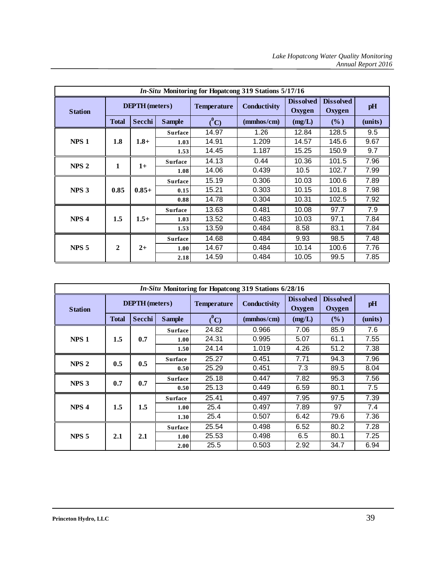|                  |                |                       |                |                       | In-Situ Monitoring for Hopatcong 319 Stations 5/17/16 |                            |                            |                      |
|------------------|----------------|-----------------------|----------------|-----------------------|-------------------------------------------------------|----------------------------|----------------------------|----------------------|
| <b>Station</b>   |                | <b>DEPTH</b> (meters) |                | <b>Temperature</b>    | Conductivity                                          | <b>Dissolved</b><br>Oxygen | <b>Dissolved</b><br>Oxygen | pH                   |
|                  | <b>Total</b>   | Secchi                | <b>Sample</b>  | $\binom{0}{\text{C}}$ | (mmbos/cm)                                            | (mg/L)                     | $(\%)$                     | (mits)               |
|                  |                |                       | <b>Surface</b> | 14.97                 | 1.26                                                  | 12.84                      | 128.5                      | 9.5                  |
| NPS <sub>1</sub> | 1.8            | $1.8+$                | 1.03           | 14.91                 | 1.209                                                 | 14.57                      | 145.6                      | 9.67                 |
|                  |                |                       | 1.53           | 14.45                 | 1.187                                                 | 15.25                      | 150.9                      | 9.7                  |
| NPS <sub>2</sub> |                |                       | <b>Surface</b> | 14.13                 | 0.44                                                  | 10.36                      | 101.5                      | 7.96                 |
|                  | 1              | $1+$                  | 1.08           | 14.06                 | 0.439                                                 | 10.5                       | 102.7                      | 7.99                 |
|                  |                |                       | <b>Surface</b> | 15.19                 | 0.306                                                 | 10.03                      | 100.6                      | 7.89<br>7.98<br>7.92 |
| NPS <sub>3</sub> | 0.85           | $0.85+$               | 0.15           | 15.21                 | 0.303                                                 | 10.15                      | 101.8                      |                      |
|                  |                |                       | 0.88           | 14.78                 | 0.304                                                 | 10.31                      | 102.5                      |                      |
|                  |                |                       | <b>Surface</b> | 13.63                 | 0.481                                                 | 10.08                      | 97.7                       | 7.9                  |
| NPS <sub>4</sub> | 1.5            | $1.5+$                | 1.03           | 13.52                 | 0.483                                                 | 10.03                      | 97.1                       | 7.84                 |
|                  |                |                       | 1.53           | 13.59                 | 0.484                                                 | 8.58                       | 83.1                       | 7.84                 |
|                  |                |                       | <b>Surface</b> | 14.68                 | 0.484                                                 | 9.93                       | 98.5                       | 7.48                 |
| NPS <sub>5</sub> | $\overline{2}$ | $2+$                  | 1.00           | 14.67                 | 0.484                                                 | 10.14                      | 100.6                      | 7.76                 |
|                  |                |                       | 2.18           | 14.59                 | 0.484                                                 | 10.05                      | 99.5                       | 7.85                 |

| <i>In-Situ</i> Monitoring for Hopatcong 319 Stations 6/28/16 |              |                       |                |                       |              |                            |                            |         |
|--------------------------------------------------------------|--------------|-----------------------|----------------|-----------------------|--------------|----------------------------|----------------------------|---------|
| <b>Station</b>                                               |              | <b>DEPTH</b> (meters) |                | <b>Temperature</b>    | Conductivity | <b>Dissolved</b><br>Oxygen | <b>Dissolved</b><br>Oxygen | pH      |
|                                                              | <b>Total</b> | Secchi                | <b>Sample</b>  | $\binom{0}{\text{C}}$ | (mmbos/cm)   | (mg/L)                     | $(\%)$                     | (units) |
|                                                              |              |                       | <b>Surface</b> | 24.82                 | 0.966        | 7.06                       | 85.9                       | 7.6     |
| NPS <sub>1</sub>                                             | 1.5          | 0.7                   | 1.00           | 24.31                 | 0.995        | 5.07                       | 61.1                       | 7.55    |
|                                                              |              |                       | 1.50           | 24.14                 | 1.019        | 4.26                       | 51.2                       | 7.38    |
| NPS <sub>2</sub>                                             | 0.5          | 0.5                   | <b>Surface</b> | 25.27                 | 0.451        | 7.71                       | 94.3                       | 7.96    |
|                                                              |              |                       | 0.50           | 25.29                 | 0.451        | 7.3                        | 89.5                       | 8.04    |
| NPS <sub>3</sub>                                             | 0.7          |                       | <b>Surface</b> | 25.18                 | 0.447        | 7.82                       | 95.3                       | 7.56    |
|                                                              |              | 0.7                   | 0.50           | 25.13                 | 0.449        | 6.59                       | 80.1                       | 7.5     |
|                                                              |              |                       | <b>Surface</b> | 25.41                 | 0.497        | 7.95                       | 97.5                       | 7.39    |
| NPS <sub>4</sub>                                             | 1.5          | 1.5                   | 1.00           | 25.4                  | 0.497        | 7.89                       | 97                         | 7.4     |
|                                                              |              |                       | 1.30           | 25.4                  | 0.507        | 6.42                       | 79.6                       | 7.36    |
|                                                              |              |                       | <b>Surface</b> | 25.54                 | 0.498        | 6.52                       | 80.2                       | 7.28    |
| NPS <sub>5</sub>                                             | 2.1          | 2.1                   | 1.00           | 25.53                 | 0.498        | 6.5                        | 80.1                       | 7.25    |
|                                                              |              |                       | 2.00           | 25.5                  | 0.503        | 2.92                       | 34.7                       | 6.94    |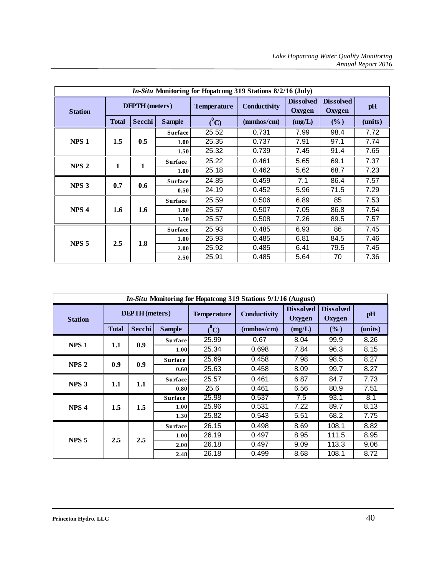|                  | In-Situ Monitoring for Hopatcong 319 Stations 8/2/16 (July) |                       |                |                       |              |                            |                            |                      |  |
|------------------|-------------------------------------------------------------|-----------------------|----------------|-----------------------|--------------|----------------------------|----------------------------|----------------------|--|
| <b>Station</b>   |                                                             | <b>DEPTH</b> (meters) |                | <b>Temperature</b>    | Conductivity | <b>Dissolved</b><br>Oxygen | <b>Dissolved</b><br>Oxygen | pH                   |  |
|                  | <b>Total</b>                                                | Secchi                | <b>Sample</b>  | $\binom{0}{\text{C}}$ | (mmbos/cm)   | (mg/L)                     | $(\% )$                    | (mits)               |  |
|                  |                                                             |                       | <b>Surface</b> | 25.52                 | 0.731        | 7.99                       | 98.4                       | 7.72                 |  |
| NPS <sub>1</sub> | 1.5                                                         | 0.5                   | 1.00           | 25.35                 | 0.737        | 7.91                       | 97.1                       | 7.74                 |  |
|                  |                                                             |                       | 1.50           | 25.32                 | 0.739        | 7.45                       | 91.4                       | 7.65                 |  |
|                  |                                                             |                       | <b>Surface</b> | 25.22                 | 0.461        | 5.65                       | 69.1                       | 7.37                 |  |
| NPS <sub>2</sub> | 1                                                           | 1                     | 1.00           | 25.18                 | 0.462        | 5.62                       | 68.7                       | 7.23<br>7.57<br>7.29 |  |
|                  |                                                             |                       | <b>Surface</b> | 24.85                 | 0.459        | 7.1                        | 86.4                       |                      |  |
| NPS <sub>3</sub> | 0.7                                                         | 0.6                   | 0.50           | 24.19                 | 0.452        | 5.96                       | 71.5                       |                      |  |
|                  |                                                             |                       | <b>Surface</b> | 25.59                 | 0.506        | 6.89                       | 85                         | 7.53                 |  |
| NPS <sub>4</sub> | 1.6                                                         | 1.6                   | 1.00           | 25.57                 | 0.507        | 7.05                       | 86.8                       | 7.54                 |  |
|                  |                                                             |                       | 1.50           | 25.57                 | 0.508        | 7.26                       | 89.5                       | 7.57                 |  |
|                  |                                                             |                       | <b>Surface</b> | 25.93                 | 0.485        | 6.93                       | 86                         | 7.45                 |  |
| NPS <sub>5</sub> | 2.5                                                         | 1.8                   | 1.00           | 25.93                 | 0.485        | 6.81                       | 84.5                       | 7.46                 |  |
|                  |                                                             |                       | 2.00           | 25.92                 | 0.485        | 6.41                       | 79.5                       | 7.45                 |  |
|                  |                                                             |                       | 2.50           | 25.91                 | 0.485        | 5.64                       | 70                         | 7.36                 |  |

| <i>In-Situ</i> Monitoring for Hopatcong 319 Stations 9/1/16 (August) |              |                       |                |                         |              |                            |        |                        |
|----------------------------------------------------------------------|--------------|-----------------------|----------------|-------------------------|--------------|----------------------------|--------|------------------------|
| <b>Station</b>                                                       |              | <b>DEPTH</b> (meters) |                | <b>Temperature</b>      | Conductivity | <b>Dissolved</b><br>Oxygen |        | pH                     |
|                                                                      | <b>Total</b> | Secchi                | <b>Sample</b>  | $\binom{0}{\mathbf{C}}$ | (mmbos/cm)   | (mg/L)                     | $(\%)$ | (mits)                 |
| NPS <sub>1</sub>                                                     |              | 0.9                   | <b>Surface</b> | 25.99                   | 0.67         | 8.04                       | 99.9   | 8.26                   |
|                                                                      | 1.1          |                       | 1.00           | 25.34                   | 0.698        | 7.84                       | 96.3   | 8.15                   |
|                                                                      |              |                       | <b>Surface</b> | 25.69                   | 0.458        | 7.98                       | 98.5   | 8.27                   |
| NPS <sub>2</sub>                                                     | 0.9          | 0.9                   | 0.60           | 25.63                   | 0.458        | 8.09                       | 99.7   | 8.27                   |
|                                                                      |              |                       | <b>Surface</b> | 25.57                   | 0.461        | 6.87                       | 84.7   | 7.73                   |
| NPS <sub>3</sub>                                                     | 1.1          | 1.1                   | 0.80           | 25.6                    | 0.461        | 6.56                       | 80.9   | 7.51                   |
|                                                                      |              |                       | <b>Surface</b> | 25.98                   | 0.537        | 7.5                        | 93.1   | 8.1                    |
| NPS <sub>4</sub>                                                     | 1.5          | 1.5                   | 1.00           | 25.96                   | 0.531        | 7.22                       | 89.7   | 8.13                   |
|                                                                      |              |                       | 1.30           | 25.82                   | 0.543        | 5.51                       | 68.2   | 7.75                   |
|                                                                      |              |                       | <b>Surface</b> | 26.15                   | 0.498        | 8.69                       | 108.1  | 8.82                   |
|                                                                      |              |                       | 1.00           | 26.19                   | 0.497        | 8.95                       | 111.5  | 8.95                   |
| NPS <sub>5</sub>                                                     | 2.5          | 2.5                   | 2.00           | 26.18                   | 0.497        | 9.09                       | 113.3  | Oxygen<br>9.06<br>8.72 |
|                                                                      |              |                       | 2.48           | 26.18                   | 0.499        | 8.68                       | 108.1  |                        |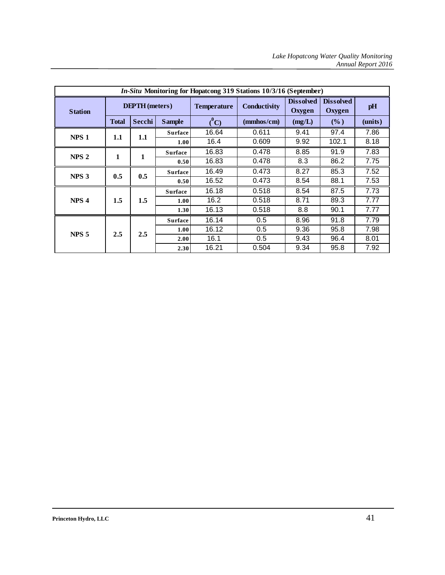|                  | <i>In-Situ</i> Monitoring for Hopatcong 319 Stations 10/3/16 (September) |                       |                |                    |              |                            |                            |         |  |
|------------------|--------------------------------------------------------------------------|-----------------------|----------------|--------------------|--------------|----------------------------|----------------------------|---------|--|
| <b>Station</b>   |                                                                          | <b>DEPTH</b> (meters) |                | <b>Temperature</b> | Conductivity | <b>Dissolved</b><br>Oxygen | <b>Dissolved</b><br>Oxygen | pH      |  |
|                  | <b>Total</b>                                                             | Secchi                | <b>Sample</b>  | $(^0C)$            | (mmbos/cm)   | (mg/L)                     | $(\%)$                     | (units) |  |
| NPS <sub>1</sub> | 1.1                                                                      | 1.1                   | <b>Surface</b> | 16.64              | 0.611        | 9.41                       | 97.4                       | 7.86    |  |
|                  |                                                                          |                       | 1.00           | 16.4               | 0.609        | 9.92                       | 102.1                      | 8.18    |  |
| NPS <sub>2</sub> |                                                                          | 1                     | <b>Surface</b> | 16.83              | 0.478        | 8.85                       | 91.9                       | 7.83    |  |
| 1                |                                                                          |                       | 0.50           | 16.83              | 0.478        | 8.3                        | 86.2                       | 7.75    |  |
| NPS <sub>3</sub> | 0.5                                                                      | 0.5                   | <b>Surface</b> | 16.49              | 0.473        | 8.27                       | 85.3                       | 7.52    |  |
|                  |                                                                          |                       | 0.50           | 16.52              | 0.473        | 8.54                       | 88.1                       | 7.53    |  |
|                  |                                                                          |                       | <b>Surface</b> | 16.18              | 0.518        | 8.54                       | 87.5                       | 7.73    |  |
| NPS <sub>4</sub> | 1.5                                                                      | 1.5                   | 1.00           | 16.2               | 0.518        | 8.71                       | 89.3                       | 7.77    |  |
|                  |                                                                          |                       | 1.30           | 16.13              | 0.518        | 8.8                        | 90.1                       | 7.77    |  |
|                  |                                                                          |                       | <b>Surface</b> | 16.14              | 0.5          | 8.96                       | 91.8                       | 7.79    |  |
| NPS <sub>5</sub> | 2.5                                                                      | 2.5                   | 1.00           | 16.12              | 0.5          | 9.36                       | 95.8                       | 7.98    |  |
|                  |                                                                          |                       | 2.00           | 16.1               | 0.5          | 9.43                       | 96.4                       | 8.01    |  |
|                  |                                                                          |                       | 2.30           | 16.21              | 0.504        | 9.34                       | 95.8                       | 7.92    |  |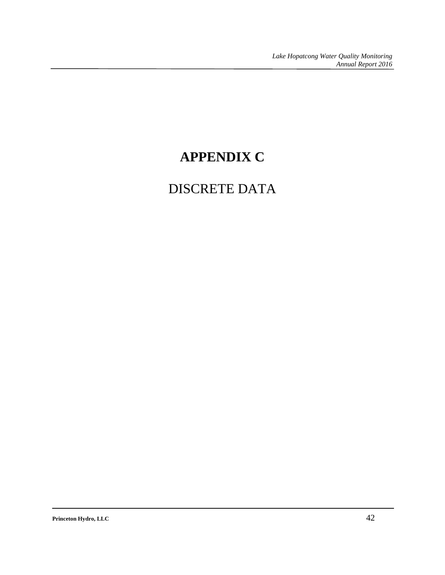## **APPENDIX C**

## DISCRETE DATA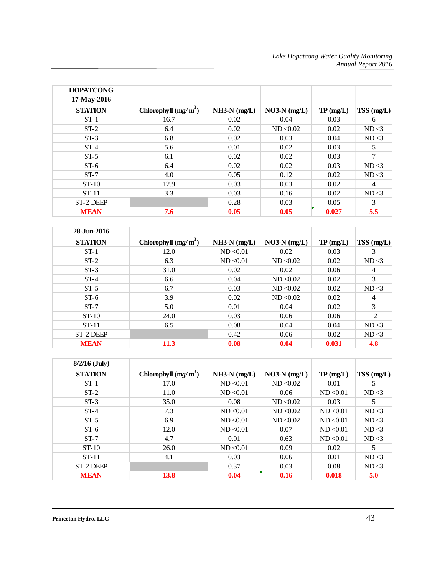| <b>HOPATCONG</b> |                        |                |                |          |            |
|------------------|------------------------|----------------|----------------|----------|------------|
| 17-May-2016      |                        |                |                |          |            |
| <b>STATION</b>   | Chlorophyll $(mg/m^3)$ | $NH3-N$ (mg/L) | $NO3-N$ (mg/L) | TP(mg/L) | TSS (mg/L) |
| $ST-1$           | 16.7                   | 0.02           | 0.04           | 0.03     | 6          |
| $ST-2$           | 6.4                    | 0.02           | ND < 0.02      | 0.02     | ND < 3     |
| $ST-3$           | 6.8                    | 0.02           | 0.03           | 0.04     | ND < 3     |
| $ST-4$           | 5.6                    | 0.01           | 0.02           | 0.03     | 5          |
| $ST-5$           | 6.1                    | 0.02           | 0.02           | 0.03     | $\tau$     |
| $ST-6$           | 6.4                    | 0.02           | 0.02           | 0.03     | ND < 3     |
| $ST-7$           | 4.0                    | 0.05           | 0.12           | 0.02     | ND < 3     |
| $ST-10$          | 12.9                   | 0.03           | 0.03           | 0.02     | 4          |
| $ST-11$          | 3.3                    | 0.03           | 0.16           | 0.02     | ND < 3     |
| ST-2 DEEP        |                        | 0.28           | 0.03           | 0.05     | 3          |
| <b>MEAN</b>      | 7.6                    | 0.05           | 0.05           | 0.027    | 5.5        |

| 28-Jun-2016    |                       |                |                |          |                |
|----------------|-----------------------|----------------|----------------|----------|----------------|
| <b>STATION</b> | Chlorophyll $(mg/m3)$ | $NH3-N (mg/L)$ | $NO3-N$ (mg/L) | TP(mg/L) | TSS(mg/L)      |
| $ST-1$         | 12.0                  | ND < 0.01      | 0.02           | 0.03     | 3              |
| $ST-2$         | 6.3                   | ND < 0.01      | ND < 0.02      | 0.02     | ND < 3         |
| $ST-3$         | 31.0                  | 0.02           | 0.02           | 0.06     | $\overline{4}$ |
| $ST-4$         | 6.6                   | 0.04           | ND < 0.02      | 0.02     | 3              |
| $ST-5$         | 6.7                   | 0.03           | ND < 0.02      | 0.02     | ND < 3         |
| $ST-6$         | 3.9                   | 0.02           | ND < 0.02      | 0.02     | 4              |
| $ST-7$         | 5.0                   | 0.01           | 0.04           | 0.02     | 3              |
| $ST-10$        | 24.0                  | 0.03           | 0.06           | 0.06     | 12             |
| $ST-11$        | 6.5                   | 0.08           | 0.04           | 0.04     | ND < 3         |
| ST-2 DEEP      |                       | 0.42           | 0.06           | 0.02     | ND < 3         |
| <b>MEAN</b>    | 11.3                  | 0.08           | 0.04           | 0.031    | 4.8            |

| $8/2/16$ (July) |                        |                |                |           |            |
|-----------------|------------------------|----------------|----------------|-----------|------------|
| <b>STATION</b>  | Chlorophyll $(mg/m^3)$ | $NH3-N$ (mg/L) | $NO3-N$ (mg/L) | TP(mg/L)  | TSS (mg/L) |
| $ST-1$          | 17.0                   | ND < 0.01      | ND < 0.02      | 0.01      | 5          |
| $ST-2$          | 11.0                   | ND < 0.01      | 0.06           | ND < 0.01 | ND < 3     |
| $ST-3$          | 35.0                   | 0.08           | ND < 0.02      | 0.03      | 5          |
| $ST-4$          | 7.3                    | ND < 0.01      | ND < 0.02      | ND < 0.01 | ND < 3     |
| $ST-5$          | 6.9                    | ND < 0.01      | ND < 0.02      | ND < 0.01 | ND < 3     |
| $ST-6$          | 12.0                   | ND < 0.01      | 0.07           | ND < 0.01 | ND < 3     |
| $ST-7$          | 4.7                    | 0.01           | 0.63           | ND < 0.01 | ND < 3     |
| $ST-10$         | 26.0                   | ND < 0.01      | 0.09           | 0.02      | 5          |
| $ST-11$         | 4.1                    | 0.03           | 0.06           | 0.01      | ND < 3     |
| ST-2 DEEP       |                        | 0.37           | 0.03           | 0.08      | ND < 3     |
| <b>MEAN</b>     | 13.8                   | 0.04           | 0.16           | 0.018     | 5.0        |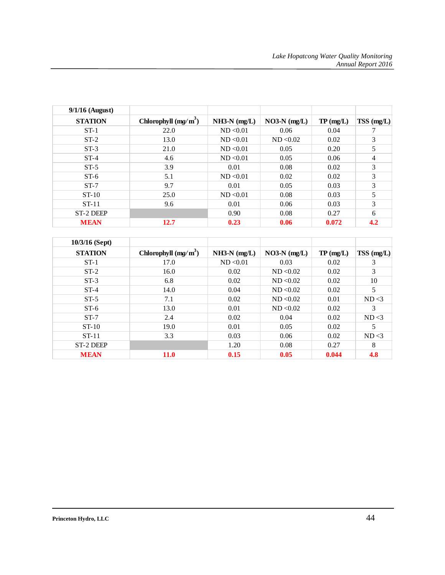| $9/1/16$ (August) |                        |                |                |          |           |
|-------------------|------------------------|----------------|----------------|----------|-----------|
| <b>STATION</b>    | Chlorophyll $(mg/m^3)$ | $NH3-N$ (mg/L) | $NO3-N$ (mg/L) | TP(mg/L) | TSS(mg/L) |
| $ST-1$            | 22.0                   | ND < 0.01      | 0.06           | 0.04     |           |
| $ST-2$            | 13.0                   | ND < 0.01      | ND < 0.02      | 0.02     | 3         |
| $ST-3$            | 21.0                   | ND < 0.01      | 0.05           | 0.20     | 5         |
| $ST-4$            | 4.6                    | ND < 0.01      | 0.05           | 0.06     | 4         |
| $ST-5$            | 3.9                    | 0.01           | 0.08           | 0.02     | 3         |
| $ST-6$            | 5.1                    | ND < 0.01      | 0.02           | 0.02     | 3         |
| $ST-7$            | 9.7                    | 0.01           | 0.05           | 0.03     | 3         |
| $ST-10$           | 25.0                   | ND < 0.01      | 0.08           | 0.03     | 5         |
| $ST-11$           | 9.6                    | 0.01           | 0.06           | 0.03     | 3         |
| ST-2 DEEP         |                        | 0.90           | 0.08           | 0.27     | 6         |
| <b>MEAN</b>       | 12.7                   | 0.23           | 0.06           | 0.072    | 4.2       |

| $10/3/16$ (Sept) |                        |                |                |          |              |
|------------------|------------------------|----------------|----------------|----------|--------------|
| <b>STATION</b>   | Chlorophyll $(mg/m^3)$ | $NH3-N$ (mg/L) | $NO3-N$ (mg/L) | TP(mg/L) | $TSS$ (mg/L) |
| $ST-1$           | 17.0                   | ND < 0.01      | 0.03           | 0.02     | 3            |
| $ST-2$           | 16.0                   | 0.02           | ND < 0.02      | 0.02     | 3            |
| $ST-3$           | 6.8                    | 0.02           | ND < 0.02      | 0.02     | 10           |
| $ST-4$           | 14.0                   | 0.04           | ND < 0.02      | 0.02     | 5            |
| $ST-5$           | 7.1                    | 0.02           | ND < 0.02      | 0.01     | ND < 3       |
| $ST-6$           | 13.0                   | 0.01           | ND < 0.02      | 0.02     | 3            |
| $ST-7$           | 2.4                    | 0.02           | 0.04           | 0.02     | ND < 3       |
| $ST-10$          | 19.0                   | 0.01           | 0.05           | 0.02     | 5            |
| $ST-11$          | 3.3                    | 0.03           | 0.06           | 0.02     | ND < 3       |
| ST-2 DEEP        |                        | 1.20           | 0.08           | 0.27     | 8            |
| <b>MEAN</b>      | <b>11.0</b>            | 0.15           | 0.05           | 0.044    | 4.8          |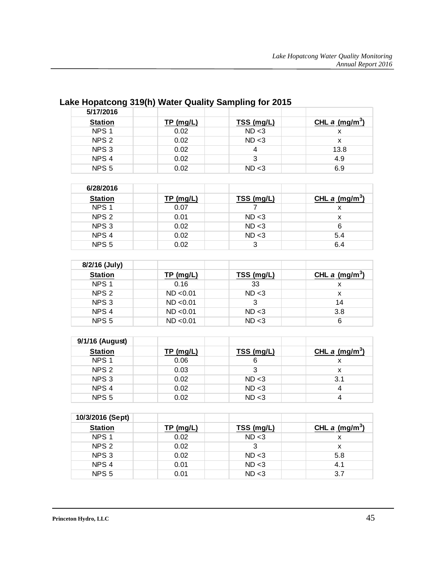| 5/17/2016        |           |            |                  |
|------------------|-----------|------------|------------------|
| <b>Station</b>   | TP (mg/L) | TSS (mg/L) | CHL a $(mg/m^3)$ |
| NPS <sub>1</sub> | 0.02      | ND < 3     | х                |
| NPS <sub>2</sub> | 0.02      | ND < 3     | x                |
| NPS <sub>3</sub> | 0.02      | 4          | 13.8             |
| NPS <sub>4</sub> | 0.02      | 3          | 4.9              |
| NPS <sub>5</sub> | 0.02      | ND < 3     | 6.9              |

#### **Lake Hopatcong 319(h) Water Quality Sampling for 2015**

| 6/28/2016        |                  |            |                          |
|------------------|------------------|------------|--------------------------|
| <b>Station</b>   | <u>TP (mg/L)</u> | TSS (mg/L) | CHL $a \text{ (mg/m}^3)$ |
| NPS <sub>1</sub> | 0.07             |            | x                        |
| NPS <sub>2</sub> | 0.01             | ND < 3     | x                        |
| NPS <sub>3</sub> | 0.02             | ND < 3     | 6                        |
| NPS <sub>4</sub> | 0.02             | ND < 3     | 5.4                      |
| NPS <sub>5</sub> | 0.02             |            | 6.4                      |

| 8/2/16 (July)    |             |            |                 |
|------------------|-------------|------------|-----------------|
| <b>Station</b>   | $TP$ (mg/L) | TSS (mg/L) | CHL a $(mg/m3)$ |
| NPS <sub>1</sub> | 0.16        | 33         |                 |
| NPS <sub>2</sub> | ND < 0.01   | ND < 3     | x               |
| NPS <sub>3</sub> | ND < 0.01   |            | 14              |
| NPS <sub>4</sub> | ND < 0.01   | ND < 3     | 3.8             |
| NPS <sub>5</sub> | ND < 0.01   | ND < 3     | 6               |

| 9/1/16 (August)  |           |            |                          |
|------------------|-----------|------------|--------------------------|
| <b>Station</b>   | TP (mg/L) | TSS (mg/L) | CHL $a \text{ (mg/m}^3)$ |
| NPS <sub>1</sub> | 0.06      | 6          | х                        |
| NPS <sub>2</sub> | 0.03      | 3          | x                        |
| NPS <sub>3</sub> | 0.02      | ND < 3     | 3.1                      |
| NPS <sub>4</sub> | 0.02      | ND < 3     | 4                        |
| NPS <sub>5</sub> | 0.02      | ND < 3     | 4                        |

| 10/3/2016 (Sept) |           |            |                          |
|------------------|-----------|------------|--------------------------|
| <b>Station</b>   | TP (mg/L) | TSS (mg/L) | CHL $a \text{ (mg/m}^3)$ |
| NPS <sub>1</sub> | 0.02      | ND < 3     | х                        |
| NPS <sub>2</sub> | 0.02      | 3          | x                        |
| NPS <sub>3</sub> | 0.02      | ND < 3     | 5.8                      |
| NPS <sub>4</sub> | 0.01      | ND < 3     | 4.1                      |
| NPS <sub>5</sub> | 0.01      | ND < 3     | 3.7                      |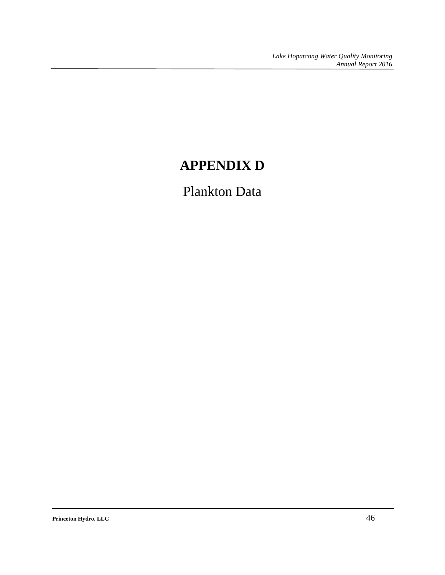# **APPENDIX D**

## Plankton Data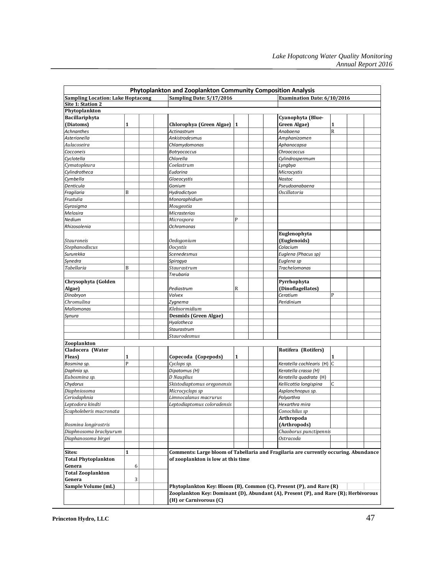|                                          |   | Phytoplankton and Zooplankton Community Composition Analysis                         |   |  |                              |              |  |  |
|------------------------------------------|---|--------------------------------------------------------------------------------------|---|--|------------------------------|--------------|--|--|
| <b>Sampling Location: Lake Hoptacong</b> |   | Sampling Date: 5/17/2016                                                             |   |  | Examination Date: 6/10/2016  |              |  |  |
| Site 1: Station 2                        |   |                                                                                      |   |  |                              |              |  |  |
| Phytoplankton                            |   |                                                                                      |   |  |                              |              |  |  |
| Bacillariphyta                           |   |                                                                                      |   |  | Cyanophyta (Blue-            |              |  |  |
| (Diatoms)                                | 1 | Chlorophya (Green Algae)   1                                                         |   |  | Green Algae)                 | $\mathbf{1}$ |  |  |
| <b>Achnanthes</b>                        |   | <b>Actinastrum</b>                                                                   |   |  | Anabaena                     | $\mathbb{R}$ |  |  |
| Asterionella                             |   | Ankistrodesmus                                                                       |   |  | Amphanizomen                 |              |  |  |
| Aulacoseira                              |   | Chlamydomonas                                                                        |   |  | Aphanocapsa                  |              |  |  |
| Cocconeis                                |   | Botryococcus                                                                         |   |  | Chroococcus                  |              |  |  |
| Cyclotella                               |   | Chlorella                                                                            |   |  | Cylindrospermum              |              |  |  |
| Cymatopleura                             |   | Coelastrum                                                                           |   |  | Lyngbya                      |              |  |  |
| Cylindrotheca                            |   | Eudorina                                                                             |   |  | Microcystis                  |              |  |  |
| Cymbella                                 |   | Gloeocystis                                                                          |   |  | Nostoc                       |              |  |  |
| Denticula                                |   | Gonium                                                                               |   |  | Pseudoanabaena               |              |  |  |
| Fragilaria                               | B | Hydrodictyon                                                                         |   |  | <b>Oscillatoria</b>          |              |  |  |
| Frustulia                                |   | Monoraphidium                                                                        |   |  |                              |              |  |  |
| Gyrosigma                                |   | Mougeotia                                                                            |   |  |                              |              |  |  |
| Melosira                                 |   | Micrasterias                                                                         |   |  |                              |              |  |  |
| Nedium                                   |   | Microspora                                                                           | P |  |                              |              |  |  |
| Rhizosolenia                             |   | <b>Ochromonas</b>                                                                    |   |  |                              |              |  |  |
|                                          |   |                                                                                      |   |  | Euglenophyta                 |              |  |  |
| Stauroneis                               |   | Oedogonium                                                                           |   |  | (Euglenoids)                 |              |  |  |
| Stephanodiscus                           |   | <b>Oocystis</b>                                                                      |   |  | Colacium                     |              |  |  |
| Sururekka                                |   | <b>Scenedesmus</b>                                                                   |   |  | Euglena (Phacus sp)          |              |  |  |
| Synedra                                  |   | Spirogya                                                                             |   |  | Euglena sp                   |              |  |  |
| Tabellaria                               | B | Staurastrum                                                                          |   |  | <b>Trachelomonas</b>         |              |  |  |
|                                          |   | Treubaria                                                                            |   |  |                              |              |  |  |
| Chrysophyta (Golden                      |   |                                                                                      |   |  | Pyrrhophyta                  |              |  |  |
| Algae)                                   |   | Pediastrum                                                                           | R |  | (Dinoflagellates)            |              |  |  |
| Dinobryon                                |   | Volvex                                                                               |   |  | Ceratium                     | P            |  |  |
| Chromulina                               |   | Zygnema                                                                              |   |  | Peridinium                   |              |  |  |
| Mallomonas                               |   | Klebsormidium                                                                        |   |  |                              |              |  |  |
| Synura                                   |   | Desmids (Green Algae)                                                                |   |  |                              |              |  |  |
|                                          |   | Hyalotheca                                                                           |   |  |                              |              |  |  |
|                                          |   | <b>Staurastrum</b>                                                                   |   |  |                              |              |  |  |
|                                          |   | Staurodesmus                                                                         |   |  |                              |              |  |  |
|                                          |   |                                                                                      |   |  |                              |              |  |  |
| Zooplankton                              |   |                                                                                      |   |  |                              |              |  |  |
| Cladocera (Water                         |   |                                                                                      |   |  | Rotifera (Rotifers)          |              |  |  |
| Fleas)                                   | 1 | Copecoda (Copepods)                                                                  | 1 |  |                              | 1            |  |  |
| Bosmina sp.                              | P | Cyclops sp.                                                                          |   |  | Keratella cochlearis $(H)$ C |              |  |  |
| Daphnia sp.                              |   | Dipatomus (H)                                                                        |   |  | Keratella crassa (H)         |              |  |  |
| Eubosmina sp.                            |   | D Nauplius                                                                           |   |  | Keratella quadrata (H)       |              |  |  |
| Chydorus                                 |   | Skistodiaptomus oregonensis                                                          |   |  | Kellicottia longispina       | C            |  |  |
| Diaphniosoma                             |   | Microcyclops sp                                                                      |   |  | Asplanchnopus sp.            |              |  |  |
| Ceriodaphnia                             |   | Limnocalanus macrurus                                                                |   |  | Polyarthra                   |              |  |  |
| Leptodora kindti                         |   | Leptodiaptomus coloradensis                                                          |   |  | Hexarthra mira               |              |  |  |
| Scapholeberis mucronata                  |   |                                                                                      |   |  | Conochilus sp                |              |  |  |
|                                          |   |                                                                                      |   |  | Arthropoda                   |              |  |  |
| Bosmina longirostris                     |   |                                                                                      |   |  | (Arthropods)                 |              |  |  |
| Diaphnosoma brachyurum                   |   |                                                                                      |   |  | Chaoborus punctipennis       |              |  |  |
| Diaphanosoma birgei                      |   |                                                                                      |   |  | Ostracoda                    |              |  |  |
|                                          |   |                                                                                      |   |  |                              |              |  |  |
| Sites:                                   | 1 | Comments: Large bloom of Tabellaria and Fragilaria are currently occuring. Abundance |   |  |                              |              |  |  |
| <b>Total Phytoplankton</b>               |   | of zooplankton is low at this time                                                   |   |  |                              |              |  |  |
| Genera                                   | 6 |                                                                                      |   |  |                              |              |  |  |
| <b>Total Zooplankton</b>                 |   |                                                                                      |   |  |                              |              |  |  |
| Genera                                   | 3 |                                                                                      |   |  |                              |              |  |  |
| Sample Volume (mL)                       |   | Phytoplankton Key: Bloom (B), Common (C), Present (P), and Rare (R)                  |   |  |                              |              |  |  |
|                                          |   | Zooplankton Key: Dominant (D), Abundant (A), Present (P), and Rare (R); Herbivorous  |   |  |                              |              |  |  |
|                                          |   | (H) or Carnivorous (C)                                                               |   |  |                              |              |  |  |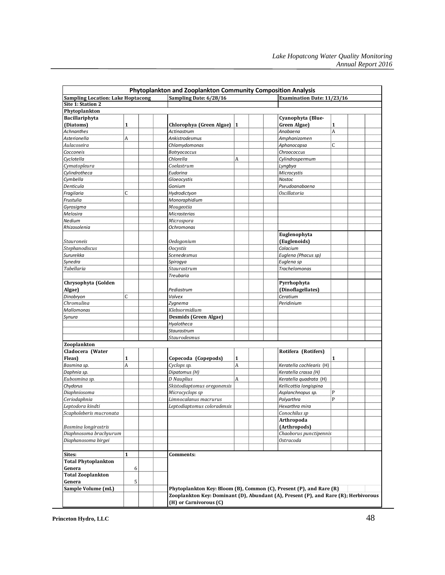|                                          |              | Phytoplankton and Zooplankton Community Composition Analysis                        |   |  |                                   |              |  |
|------------------------------------------|--------------|-------------------------------------------------------------------------------------|---|--|-----------------------------------|--------------|--|
| <b>Sampling Location: Lake Hoptacong</b> |              | Sampling Date: 6/28/16                                                              |   |  | <b>Examination Date: 11/23/16</b> |              |  |
| <b>Site 1: Station 2</b>                 |              |                                                                                     |   |  |                                   |              |  |
| Phytoplankton                            |              |                                                                                     |   |  |                                   |              |  |
| Bacillariphyta                           |              |                                                                                     |   |  | Cyanophyta (Blue-                 |              |  |
| (Diatoms)                                | 1            | Chlorophya (Green Algae)   1                                                        |   |  | Green Algae)                      | $\mathbf{1}$ |  |
| <b>Achnanthes</b>                        |              | Actinastrum                                                                         |   |  | Anabaena                          | A            |  |
| Asterionella                             | A            | Ankistrodesmus                                                                      |   |  | Amphanizomen                      |              |  |
| Aulacoseira                              |              | Chlamydomonas                                                                       |   |  | Aphanocapsa                       | C            |  |
| Cocconeis                                |              | Botryococcus                                                                        |   |  | Chroococcus                       |              |  |
| Cyclotella                               |              | Chlorella                                                                           | A |  | Cylindrospermum                   |              |  |
| Cymatopleura                             |              | Coelastrum                                                                          |   |  | Lyngbya                           |              |  |
| Cylindrotheca                            |              | Eudorina                                                                            |   |  | <b>Microcystis</b>                |              |  |
| Cymbella                                 |              | Gloeocystis                                                                         |   |  | Nostoc                            |              |  |
| Denticula                                |              | Gonium                                                                              |   |  | Pseudoanabaena                    |              |  |
| Fragilaria                               | C            | Hydrodictyon                                                                        |   |  | Oscillatoria                      |              |  |
| Frustulia                                |              | Monoraphidium                                                                       |   |  |                                   |              |  |
| Gyrosigma                                |              | Mougeotia                                                                           |   |  |                                   |              |  |
| Melosira                                 |              | Micrasterias                                                                        |   |  |                                   |              |  |
| Nedium                                   |              | Microspora                                                                          |   |  |                                   |              |  |
| Rhizosolenia                             |              | <b>Ochromonas</b>                                                                   |   |  |                                   |              |  |
|                                          |              |                                                                                     |   |  | Euglenophyta                      |              |  |
| Stauroneis                               |              | Oedogonium                                                                          |   |  | (Euglenoids)                      |              |  |
| Stephanodiscus                           |              | <b>Oocystis</b>                                                                     |   |  | Colacium                          |              |  |
| Sururekka                                |              | Scenedesmus                                                                         |   |  | Euglena (Phacus sp)               |              |  |
| Synedra                                  |              | Spirogya                                                                            |   |  | Euglena sp                        |              |  |
| Tabellaria                               |              | Staurastrum                                                                         |   |  | Trachelomonas                     |              |  |
|                                          |              | <b>Treubaria</b>                                                                    |   |  |                                   |              |  |
| Chrysophyta (Golden                      |              |                                                                                     |   |  | Pyrrhophyta                       |              |  |
| Algae)                                   |              | Pediastrum                                                                          |   |  | (Dinoflagellates)                 |              |  |
| Dinobryon                                | C            | Volvex                                                                              |   |  | Ceratium                          |              |  |
| Chromulina                               |              | Zygnema                                                                             |   |  | Peridinium                        |              |  |
| <b>Mallomonas</b>                        |              | Klebsormidium                                                                       |   |  |                                   |              |  |
| Synura                                   |              | Desmids (Green Algae)                                                               |   |  |                                   |              |  |
|                                          |              | Hyalotheca                                                                          |   |  |                                   |              |  |
|                                          |              | Staurastrum                                                                         |   |  |                                   |              |  |
|                                          |              | Staurodesmus                                                                        |   |  |                                   |              |  |
| Zooplankton                              |              |                                                                                     |   |  |                                   |              |  |
| Cladocera (Water                         |              |                                                                                     |   |  | Rotifera (Rotifers)               |              |  |
| Fleas)                                   | 1            | Copecoda (Copepods)                                                                 | 1 |  |                                   | $\mathbf{1}$ |  |
| Bosmina sp.                              | A            | Cyclops sp.                                                                         | A |  | Keratella cochlearis (H)          |              |  |
| Daphnia sp.                              |              | Dipatomus (H)                                                                       |   |  | Keratella crassa (H)              |              |  |
| Eubosmina sp.                            |              | D Nauplius                                                                          | A |  | Keratella quadrata (H)            |              |  |
| Chydorus                                 |              | Skistodiaptomus oregonensis                                                         |   |  | Kellicottia longispina            |              |  |
| Diaphniosoma                             |              | Microcyclops sp                                                                     |   |  | Asplanchnopus sp.                 | $\mathbf{P}$ |  |
| Ceriodaphnia                             |              | Limnocalanus macrurus                                                               |   |  | Polyarthra                        | $\mathsf{P}$ |  |
| Leptodora kindti                         |              | Leptodiaptomus coloradensis                                                         |   |  | Hexarthra mira                    |              |  |
| Scapholeberis mucronata                  |              |                                                                                     |   |  | Conochilus sp                     |              |  |
|                                          |              |                                                                                     |   |  | Arthropoda                        |              |  |
| Bosmina longirostris                     |              |                                                                                     |   |  | (Arthropods)                      |              |  |
| Diaphnosoma brachyurum                   |              |                                                                                     |   |  | Chaoborus punctipennis            |              |  |
| Diaphanosoma birgei                      |              |                                                                                     |   |  | Ostracoda                         |              |  |
|                                          |              |                                                                                     |   |  |                                   |              |  |
| Sites:                                   | $\mathbf{1}$ | <b>Comments:</b>                                                                    |   |  |                                   |              |  |
| <b>Total Phytoplankton</b>               |              |                                                                                     |   |  |                                   |              |  |
| Genera                                   | 6            |                                                                                     |   |  |                                   |              |  |
| <b>Total Zooplankton</b>                 |              |                                                                                     |   |  |                                   |              |  |
| Genera                                   | 5            |                                                                                     |   |  |                                   |              |  |
| Sample Volume (mL)                       |              | Phytoplankton Key: Bloom (B), Common (C), Present (P), and Rare (R)                 |   |  |                                   |              |  |
|                                          |              | Zooplankton Key: Dominant (D), Abundant (A), Present (P), and Rare (R); Herbivorous |   |  |                                   |              |  |
|                                          |              | (H) or Carnivorous (C)                                                              |   |  |                                   |              |  |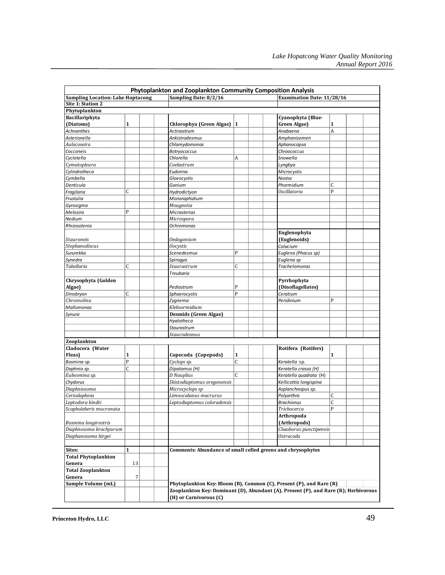|                                          |              |  | Phytoplankton and Zooplankton Community Composition Analysis                        |              |  |                                   |              |  |  |
|------------------------------------------|--------------|--|-------------------------------------------------------------------------------------|--------------|--|-----------------------------------|--------------|--|--|
| <b>Sampling Location: Lake Hoptacong</b> |              |  | Sampling Date: 8/2/16                                                               |              |  | <b>Examination Date: 11/28/16</b> |              |  |  |
| <b>Site 1: Station 2</b>                 |              |  |                                                                                     |              |  |                                   |              |  |  |
| Phytoplankton                            |              |  |                                                                                     |              |  |                                   |              |  |  |
| Bacillariphyta                           |              |  |                                                                                     |              |  | Cyanophyta (Blue-                 |              |  |  |
| (Diatoms)                                | 1            |  | Chlorophya (Green Algae)  1                                                         |              |  | Green Algae)                      | 1            |  |  |
| <b>Achnanthes</b>                        |              |  | <b>Actinastrum</b>                                                                  |              |  | Anabaena                          | A            |  |  |
| Asterionella                             |              |  | Ankistrodesmus                                                                      |              |  | Amphanizomen                      |              |  |  |
| Aulacoseira                              |              |  | Chlamydomonas                                                                       |              |  | Aphanocapsa                       |              |  |  |
| Cocconeis                                |              |  | Botryococcus                                                                        |              |  | Chroococcus                       |              |  |  |
| Cyclotella                               |              |  | Chlorella                                                                           | A            |  | Snowella                          |              |  |  |
| Cymatopleura                             |              |  | Coelastrum                                                                          |              |  | Lyngbya                           |              |  |  |
| Cylindrotheca                            |              |  | Eudorina                                                                            |              |  | Microcystis                       |              |  |  |
| Cymbella                                 |              |  | Gloeocystis                                                                         |              |  | <b>Nostoc</b>                     |              |  |  |
| Denticula                                |              |  | Gonium                                                                              |              |  | Phormidium                        | С            |  |  |
| Fragilaria                               | C            |  | Hydrodictyon                                                                        |              |  | Oscillatoria                      | P            |  |  |
| Frustulia                                |              |  | Monoraphidium                                                                       |              |  |                                   |              |  |  |
| Gyrosigma                                |              |  | Mougeotia                                                                           |              |  |                                   |              |  |  |
| Melosira                                 | P            |  | Micrasterias                                                                        |              |  |                                   |              |  |  |
| Nedium                                   |              |  | Microspora                                                                          |              |  |                                   |              |  |  |
| Rhizosolenia                             |              |  | Ochromonas                                                                          |              |  |                                   |              |  |  |
|                                          |              |  |                                                                                     |              |  | Euglenophyta                      |              |  |  |
| Stauroneis                               |              |  | Oedogonium                                                                          |              |  | (Euglenoids)                      |              |  |  |
| Stephanodiscus                           |              |  | <b>Oocystis</b>                                                                     |              |  | Colacium                          |              |  |  |
| Sururekka                                |              |  | Scenedesmus                                                                         | P            |  | Euglena (Phacus sp)               |              |  |  |
| Synedra                                  |              |  | Spirogya                                                                            |              |  | Euglena sp                        |              |  |  |
| <b>Tabellaria</b>                        | Ċ            |  | Staurastrum                                                                         | C            |  | <b>Trachelomonas</b>              |              |  |  |
|                                          |              |  | Treubaria                                                                           |              |  |                                   |              |  |  |
|                                          |              |  |                                                                                     |              |  |                                   |              |  |  |
| Chrysophyta (Golden                      |              |  |                                                                                     |              |  | Pyrrhophyta                       |              |  |  |
| Algae)                                   |              |  | Pediastrum                                                                          | P            |  | (Dinoflagellates)                 |              |  |  |
| Dinobryon                                | C            |  | Sphaerocystis                                                                       | $\mathbf{P}$ |  | Ceratium                          |              |  |  |
| Chromulina                               |              |  | Zygnema                                                                             |              |  | Peridinium                        | P            |  |  |
| <b>Mallomonas</b>                        |              |  | Klebsormidium                                                                       |              |  |                                   |              |  |  |
| Synura                                   |              |  | Desmids (Green Algae)                                                               |              |  |                                   |              |  |  |
|                                          |              |  | Hyalotheca                                                                          |              |  |                                   |              |  |  |
|                                          |              |  | <b>Staurastrum</b>                                                                  |              |  |                                   |              |  |  |
|                                          |              |  | <b>Staurodesmus</b>                                                                 |              |  |                                   |              |  |  |
| Zooplankton                              |              |  |                                                                                     |              |  |                                   |              |  |  |
| Cladocera (Water                         |              |  |                                                                                     |              |  | Rotifera (Rotifers)               |              |  |  |
| Fleas)                                   | 1            |  | Copecoda (Copepods)                                                                 | $\mathbf{1}$ |  |                                   | 1            |  |  |
| Bosmina sp.                              | P            |  | Cyclops sp.                                                                         | $\mathsf{C}$ |  | Keratella sp.                     |              |  |  |
| Daphnia sp.                              | C            |  | Dipatomus (H)                                                                       |              |  | Keratella crassa (H)              |              |  |  |
| Eubosmina sp.                            |              |  | D Nauplius                                                                          | $\mathsf{C}$ |  | Keratella quadrata (H)            |              |  |  |
| Chydorus                                 |              |  | Skistodiaptomus oregonensis                                                         |              |  | Kellicottia longispina            |              |  |  |
| Diaphniosoma                             |              |  | Microcyclops sp                                                                     |              |  | Asplanchnopus sp.                 |              |  |  |
| Ceriodaphnia                             |              |  | Limnocalanus macrurus                                                               |              |  | Polyarthra                        | C            |  |  |
| Leptodora kindti                         |              |  | Leptodiaptomus coloradensis                                                         |              |  | <b>Brachionus</b>                 | C            |  |  |
| Scapholeberis mucronata                  |              |  |                                                                                     |              |  | Trichocerca                       | $\mathbf{p}$ |  |  |
|                                          |              |  |                                                                                     |              |  | Arthropoda                        |              |  |  |
| <b>Bosmina longirostris</b>              |              |  |                                                                                     |              |  | (Arthropods)                      |              |  |  |
| Diaphnosoma brachyurum                   |              |  |                                                                                     |              |  | Chaoborus punctipennis            |              |  |  |
| Diaphanosoma birgei                      |              |  |                                                                                     |              |  | Ostracoda                         |              |  |  |
|                                          |              |  |                                                                                     |              |  |                                   |              |  |  |
| Sites:                                   | $\mathbf{1}$ |  | Comments: Abundance of small celled greens and chrysophytes                         |              |  |                                   |              |  |  |
| <b>Total Phytoplankton</b>               |              |  |                                                                                     |              |  |                                   |              |  |  |
| Genera                                   | 13           |  |                                                                                     |              |  |                                   |              |  |  |
| <b>Total Zooplankton</b>                 |              |  |                                                                                     |              |  |                                   |              |  |  |
| Genera                                   | 7            |  |                                                                                     |              |  |                                   |              |  |  |
| Sample Volume (mL)                       |              |  | Phytoplankton Key: Bloom (B), Common (C), Present (P), and Rare (R)                 |              |  |                                   |              |  |  |
|                                          |              |  | Zooplankton Key: Dominant (D), Abundant (A), Present (P), and Rare (R); Herbivorous |              |  |                                   |              |  |  |
|                                          |              |  | (H) or Carnivorous (C)                                                              |              |  |                                   |              |  |  |
|                                          |              |  |                                                                                     |              |  |                                   |              |  |  |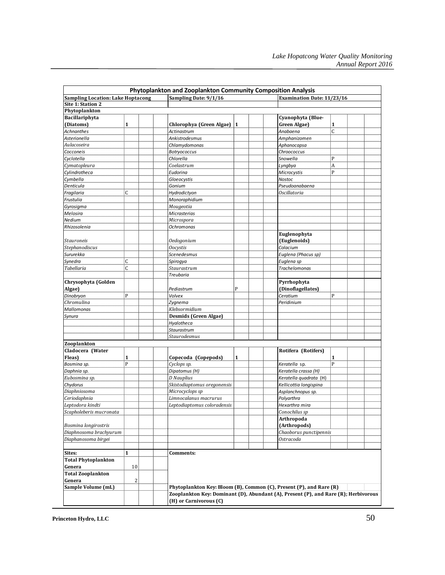|                                          |                |  | Phytoplankton and Zooplankton Community Composition Analysis                        |   |  |                                   |                |  |  |
|------------------------------------------|----------------|--|-------------------------------------------------------------------------------------|---|--|-----------------------------------|----------------|--|--|
| <b>Sampling Location: Lake Hoptacong</b> |                |  | Sampling Date: 9/1/16                                                               |   |  | <b>Examination Date: 11/23/16</b> |                |  |  |
| <b>Site 1: Station 2</b>                 |                |  |                                                                                     |   |  |                                   |                |  |  |
| Phytoplankton                            |                |  |                                                                                     |   |  |                                   |                |  |  |
| Bacillariphyta                           |                |  |                                                                                     |   |  | Cyanophyta (Blue-                 |                |  |  |
| (Diatoms)                                | 1              |  | Chlorophya (Green Algae)   1                                                        |   |  | Green Algae)                      | 1              |  |  |
| <b>Achnanthes</b>                        |                |  | <b>Actinastrum</b>                                                                  |   |  | Anabaena                          | C              |  |  |
| <b>Asterionella</b>                      |                |  | Ankistrodesmus                                                                      |   |  | Amphanizomen                      |                |  |  |
| Aulacoseira                              |                |  | Chlamydomonas                                                                       |   |  | Aphanocapsa                       |                |  |  |
| Cocconeis                                |                |  | Botryococcus                                                                        |   |  | Chroococcus                       |                |  |  |
| Cyclotella                               |                |  | Chlorella                                                                           |   |  | Snowella                          | P              |  |  |
| Cymatopleura                             |                |  | Coelastrum                                                                          |   |  | Lyngbya                           | $\overline{A}$ |  |  |
| Cylindrotheca                            |                |  | Eudorina                                                                            |   |  | Microcystis                       | P              |  |  |
| Cymbella                                 |                |  | Gloeocystis                                                                         |   |  | Nostoc                            |                |  |  |
| Denticula                                |                |  | Gonium                                                                              |   |  | Pseudoanabaena                    |                |  |  |
| Fragilaria                               | C              |  | Hydrodictyon                                                                        |   |  | Oscillatoria                      |                |  |  |
| Frustulia                                |                |  | Monoraphidium                                                                       |   |  |                                   |                |  |  |
| Gyrosigma                                |                |  | Mougeotia                                                                           |   |  |                                   |                |  |  |
| Melosira                                 |                |  | Micrasterias                                                                        |   |  |                                   |                |  |  |
| Nedium                                   |                |  | Microspora                                                                          |   |  |                                   |                |  |  |
| Rhizosolenia                             |                |  | <b>Ochromonas</b>                                                                   |   |  |                                   |                |  |  |
|                                          |                |  |                                                                                     |   |  | Euglenophyta                      |                |  |  |
| Stauroneis                               |                |  | Oedogonium                                                                          |   |  | (Euglenoids)                      |                |  |  |
| Stephanodiscus                           |                |  | <b>Oocystis</b>                                                                     |   |  | Colacium                          |                |  |  |
| <b>Sururekka</b>                         |                |  | Scenedesmus                                                                         |   |  | Euglena (Phacus sp)               |                |  |  |
| Synedra                                  | C              |  | Spirogya                                                                            |   |  | Euglena sp                        |                |  |  |
| <b>Tabellaria</b>                        | C              |  | Staurastrum                                                                         |   |  | <b>Trachelomonas</b>              |                |  |  |
|                                          |                |  | Treubaria                                                                           |   |  |                                   |                |  |  |
| Chrysophyta (Golden                      |                |  |                                                                                     |   |  | Pyrrhophyta                       |                |  |  |
| Algae)                                   |                |  | Pediastrum                                                                          | P |  | (Dinoflagellates)                 |                |  |  |
| Dinobryon                                | P              |  | Volvex                                                                              |   |  | Ceratium                          | P              |  |  |
| Chromulina                               |                |  | Zygnema                                                                             |   |  | Peridinium                        |                |  |  |
| <b>Mallomonas</b>                        |                |  | Klebsormidium                                                                       |   |  |                                   |                |  |  |
| Synura                                   |                |  | <b>Desmids</b> (Green Algae)                                                        |   |  |                                   |                |  |  |
|                                          |                |  | Hyalotheca                                                                          |   |  |                                   |                |  |  |
|                                          |                |  | <b>Staurastrum</b>                                                                  |   |  |                                   |                |  |  |
|                                          |                |  | Staurodesmus                                                                        |   |  |                                   |                |  |  |
| Zooplankton                              |                |  |                                                                                     |   |  |                                   |                |  |  |
| Cladocera (Water                         |                |  |                                                                                     |   |  | Rotifera (Rotifers)               |                |  |  |
| Fleas)                                   | 1              |  | Copecoda (Copepods)                                                                 | 1 |  |                                   | $\mathbf{1}$   |  |  |
| Bosmina sp.                              | P              |  | Cyclops sp.                                                                         |   |  | Keratella sp.                     | P              |  |  |
| Daphnia sp.                              |                |  | Dipatomus (H)                                                                       |   |  | Keratella crassa (H)              |                |  |  |
| Eubosmina sp.                            |                |  | D Nauplius                                                                          |   |  | Keratella quadrata (H)            |                |  |  |
| Chydorus                                 |                |  | Skistodiaptomus oregonensis                                                         |   |  | Kellicottia longispina            |                |  |  |
| Diaphniosoma                             |                |  | Microcyclops sp                                                                     |   |  | Asplanchnopus sp.                 |                |  |  |
| Ceriodaphnia                             |                |  | Limnocalanus macrurus                                                               |   |  | Polyarthra                        |                |  |  |
| Leptodora kindti                         |                |  | Leptodiaptomus coloradensis                                                         |   |  | Hexarthra mira                    |                |  |  |
| Scapholeberis mucronata                  |                |  |                                                                                     |   |  | Conochilus sp                     |                |  |  |
|                                          |                |  |                                                                                     |   |  | Arthropoda                        |                |  |  |
| Bosmina longirostris                     |                |  |                                                                                     |   |  | (Arthropods)                      |                |  |  |
| Diaphnosoma brachyurum                   |                |  |                                                                                     |   |  | Chaoborus punctipennis            |                |  |  |
| Diaphanosoma birgei                      |                |  |                                                                                     |   |  | Ostracoda                         |                |  |  |
|                                          |                |  |                                                                                     |   |  |                                   |                |  |  |
| Sites:                                   | $\mathbf{1}$   |  | <b>Comments:</b>                                                                    |   |  |                                   |                |  |  |
| <b>Total Phytoplankton</b>               |                |  |                                                                                     |   |  |                                   |                |  |  |
| Genera                                   | 10             |  |                                                                                     |   |  |                                   |                |  |  |
| <b>Total Zooplankton</b>                 |                |  |                                                                                     |   |  |                                   |                |  |  |
| Genera                                   | $\overline{c}$ |  |                                                                                     |   |  |                                   |                |  |  |
| Sample Volume (mL)                       |                |  | Phytoplankton Key: Bloom (B), Common (C), Present (P), and Rare (R)                 |   |  |                                   |                |  |  |
|                                          |                |  | Zooplankton Key: Dominant (D), Abundant (A), Present (P), and Rare (R); Herbivorous |   |  |                                   |                |  |  |
|                                          |                |  | (H) or Carnivorous (C)                                                              |   |  |                                   |                |  |  |
|                                          |                |  |                                                                                     |   |  |                                   |                |  |  |